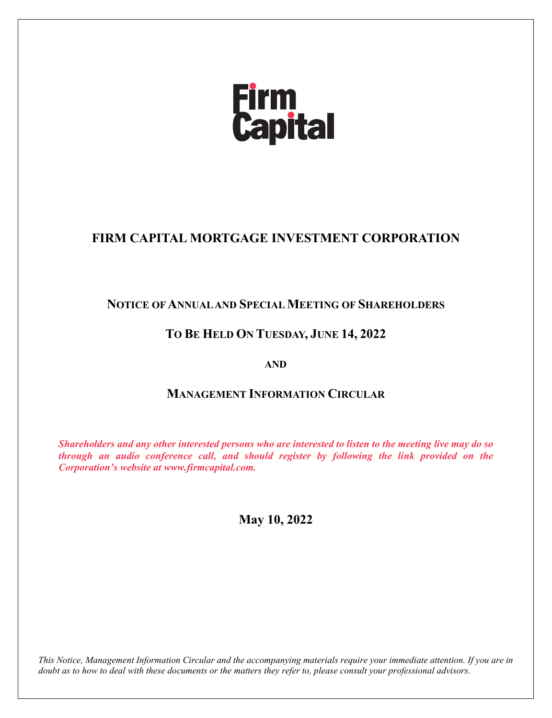# **Firm<br>Capital**

# **FIRM CAPITAL MORTGAGE INVESTMENT CORPORATION**

# **NOTICE OF ANNUAL AND SPECIAL MEETING OF SHAREHOLDERS**

# **TO BE HELD ON TUESDAY, JUNE 14, 2022**

# **AND**

# **MANAGEMENT INFORMATION CIRCULAR**

*Shareholders and any other interested persons who are interested to listen to the meeting live may do so through an audio conference call, and should register by following the link provided on the Corporation's website at www.firmcapital.com.*

# **May 10, 2022**

*This Notice, Management Information Circular and the accompanying materials require your immediate attention. If you are in doubt as to how to deal with these documents or the matters they refer to, please consult your professional advisors.*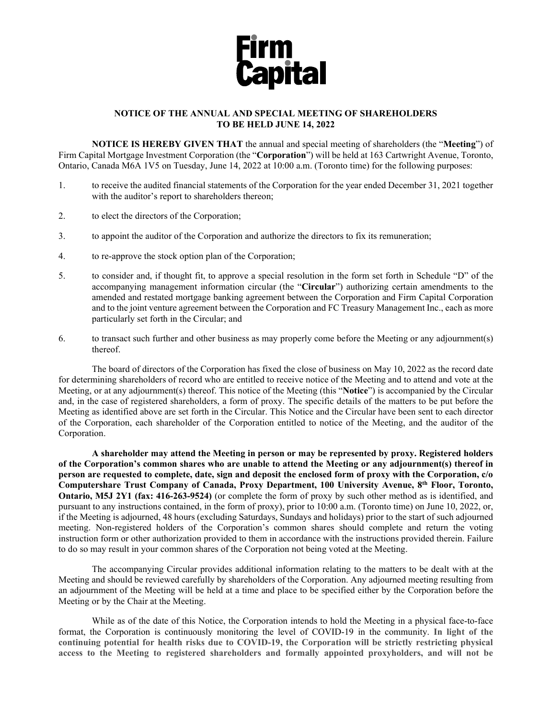

# **NOTICE OF THE ANNUAL AND SPECIAL MEETING OF SHAREHOLDERS TO BE HELD JUNE 14, 2022**

**NOTICE IS HEREBY GIVEN THAT** the annual and special meeting of shareholders (the "**Meeting**") of Firm Capital Mortgage Investment Corporation (the "**Corporation**") will be held at 163 Cartwright Avenue, Toronto, Ontario, Canada M6A 1V5 on Tuesday, June 14, 2022 at 10:00 a.m. (Toronto time) for the following purposes:

- 1. to receive the audited financial statements of the Corporation for the year ended December 31, 2021 together with the auditor's report to shareholders thereon;
- 2. to elect the directors of the Corporation;
- 3. to appoint the auditor of the Corporation and authorize the directors to fix its remuneration;
- 4. to re-approve the stock option plan of the Corporation;
- 5. to consider and, if thought fit, to approve a special resolution in the form set forth in Schedule "D" of the accompanying management information circular (the "**Circular**") authorizing certain amendments to the amended and restated mortgage banking agreement between the Corporation and Firm Capital Corporation and to the joint venture agreement between the Corporation and FC Treasury Management Inc., each as more particularly set forth in the Circular; and
- 6. to transact such further and other business as may properly come before the Meeting or any adjournment(s) thereof.

The board of directors of the Corporation has fixed the close of business on May 10, 2022 as the record date for determining shareholders of record who are entitled to receive notice of the Meeting and to attend and vote at the Meeting, or at any adjournment(s) thereof. This notice of the Meeting (this "**Notice**") is accompanied by the Circular and, in the case of registered shareholders, a form of proxy. The specific details of the matters to be put before the Meeting as identified above are set forth in the Circular. This Notice and the Circular have been sent to each director of the Corporation, each shareholder of the Corporation entitled to notice of the Meeting, and the auditor of the Corporation.

**A shareholder may attend the Meeting in person or may be represented by proxy. Registered holders of the Corporation's common shares who are unable to attend the Meeting or any adjournment(s) thereof in person are requested to complete, date, sign and deposit the enclosed form of proxy with the Corporation, c/o Computershare Trust Company of Canada, Proxy Department, 100 University Avenue, 8th Floor, Toronto, Ontario, M5J 2Y1 (fax: 416-263-9524)** (or complete the form of proxy by such other method as is identified, and pursuant to any instructions contained, in the form of proxy), prior to 10:00 a.m. (Toronto time) on June 10, 2022, or, if the Meeting is adjourned, 48 hours (excluding Saturdays, Sundays and holidays) prior to the start of such adjourned meeting. Non-registered holders of the Corporation's common shares should complete and return the voting instruction form or other authorization provided to them in accordance with the instructions provided therein. Failure to do so may result in your common shares of the Corporation not being voted at the Meeting.

The accompanying Circular provides additional information relating to the matters to be dealt with at the Meeting and should be reviewed carefully by shareholders of the Corporation. Any adjourned meeting resulting from an adjournment of the Meeting will be held at a time and place to be specified either by the Corporation before the Meeting or by the Chair at the Meeting.

While as of the date of this Notice, the Corporation intends to hold the Meeting in a physical face-to-face format, the Corporation is continuously monitoring the level of COVID-19 in the community. **In light of the continuing potential for health risks due to COVID-19, the Corporation will be strictly restricting physical access to the Meeting to registered shareholders and formally appointed proxyholders, and will not be**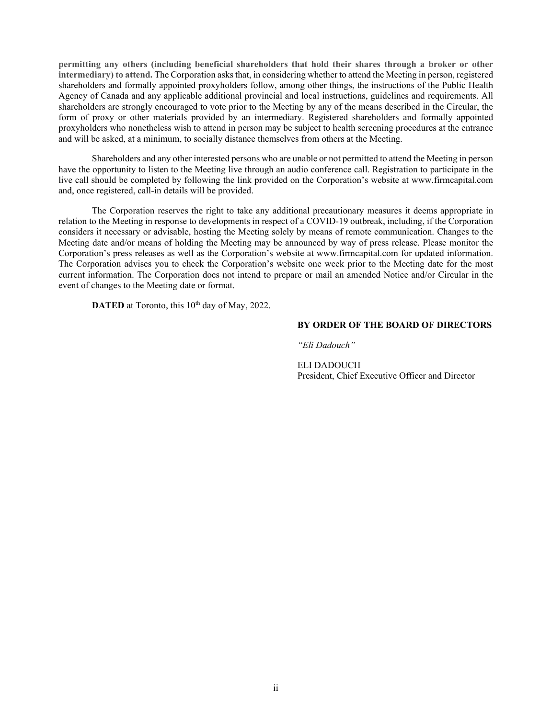**permitting any others (including beneficial shareholders that hold their shares through a broker or other intermediary) to attend.** The Corporation asks that, in considering whether to attend the Meeting in person, registered shareholders and formally appointed proxyholders follow, among other things, the instructions of the Public Health Agency of Canada and any applicable additional provincial and local instructions, guidelines and requirements. All shareholders are strongly encouraged to vote prior to the Meeting by any of the means described in the Circular, the form of proxy or other materials provided by an intermediary. Registered shareholders and formally appointed proxyholders who nonetheless wish to attend in person may be subject to health screening procedures at the entrance and will be asked, at a minimum, to socially distance themselves from others at the Meeting.

Shareholders and any other interested persons who are unable or not permitted to attend the Meeting in person have the opportunity to listen to the Meeting live through an audio conference call. Registration to participate in the live call should be completed by following the link provided on the Corporation's website at www.firmcapital.com and, once registered, call-in details will be provided.

The Corporation reserves the right to take any additional precautionary measures it deems appropriate in relation to the Meeting in response to developments in respect of a COVID-19 outbreak, including, if the Corporation considers it necessary or advisable, hosting the Meeting solely by means of remote communication. Changes to the Meeting date and/or means of holding the Meeting may be announced by way of press release. Please monitor the Corporation's press releases as well as the Corporation's website at www.firmcapital.com for updated information. The Corporation advises you to check the Corporation's website one week prior to the Meeting date for the most current information. The Corporation does not intend to prepare or mail an amended Notice and/or Circular in the event of changes to the Meeting date or format.

**DATED** at Toronto, this 10<sup>th</sup> day of May, 2022.

#### **BY ORDER OF THE BOARD OF DIRECTORS**

*"Eli Dadouch"*

ELI DADOUCH President, Chief Executive Officer and Director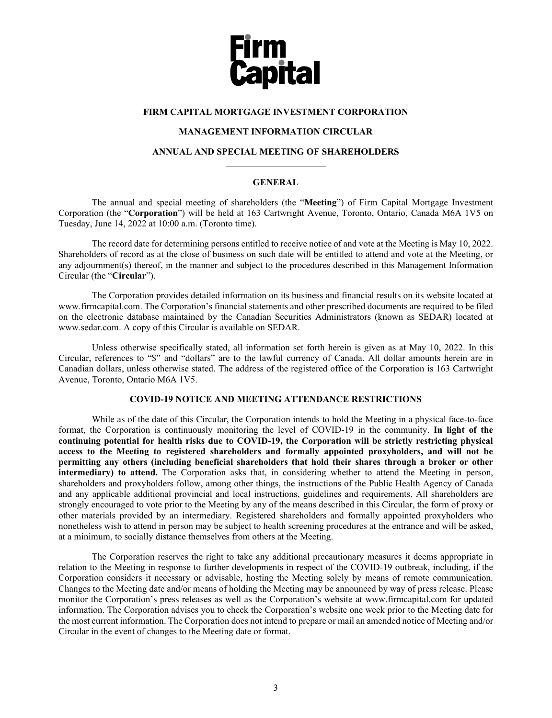

# **FIRM CAPITAL MORTGAGE INVESTMENT CORPORATION**

# **MANAGEMENT INFORMATION CIRCULAR**

#### **ANNUAL AND SPECIAL MEETING OF SHAREHOLDERS**

#### **GENERAL**

The annual and special meeting of shareholders (the "**Meeting**") of Firm Capital Mortgage Investment Corporation (the "**Corporation**") will be held at 163 Cartwright Avenue, Toronto, Ontario, Canada M6A 1V5 on Tuesday, June 14, 2022 at 10:00 a.m. (Toronto time).

The record date for determining persons entitled to receive notice of and vote at the Meeting is May 10, 2022. Shareholders of record as at the close of business on such date will be entitled to attend and vote at the Meeting, or any adjournment(s) thereof, in the manner and subject to the procedures described in this Management Information Circular (the "**Circular**").

The Corporation provides detailed information on its business and financial results on its website located at www.firmcapital.com. The Corporation's financial statements and other prescribed documents are required to be filed on the electronic database maintained by the Canadian Securities Administrators (known as SEDAR) located at www.sedar.com. A copy of this Circular is available on SEDAR.

Unless otherwise specifically stated, all information set forth herein is given as at May 10, 2022. In this Circular, references to "\$" and "dollars" are to the lawful currency of Canada. All dollar amounts herein are in Canadian dollars, unless otherwise stated. The address of the registered office of the Corporation is 163 Cartwright Avenue, Toronto, Ontario M6A 1V5.

# **COVID-19 NOTICE AND MEETING ATTENDANCE RESTRICTIONS**

While as of the date of this Circular, the Corporation intends to hold the Meeting in a physical face-to-face format, the Corporation is continuously monitoring the level of COVID-19 in the community. **In light of the continuing potential for health risks due to COVID-19, the Corporation will be strictly restricting physical access to the Meeting to registered shareholders and formally appointed proxyholders, and will not be permitting any others (including beneficial shareholders that hold their shares through a broker or other intermediary) to attend.** The Corporation asks that, in considering whether to attend the Meeting in person, shareholders and proxyholders follow, among other things, the instructions of the Public Health Agency of Canada and any applicable additional provincial and local instructions, guidelines and requirements. All shareholders are strongly encouraged to vote prior to the Meeting by any of the means described in this Circular, the form of proxy or other materials provided by an intermediary. Registered shareholders and formally appointed proxyholders who nonetheless wish to attend in person may be subject to health screening procedures at the entrance and will be asked, at a minimum, to socially distance themselves from others at the Meeting.

The Corporation reserves the right to take any additional precautionary measures it deems appropriate in relation to the Meeting in response to further developments in respect of the COVID-19 outbreak, including, if the Corporation considers it necessary or advisable, hosting the Meeting solely by means of remote communication. Changes to the Meeting date and/or means of holding the Meeting may be announced by way of press release. Please monitor the Corporation's press releases as well as the Corporation's website at www.firmcapital.com for updated information. The Corporation advises you to check the Corporation's website one week prior to the Meeting date for the most current information. The Corporation does not intend to prepare or mail an amended notice of Meeting and/or Circular in the event of changes to the Meeting date or format.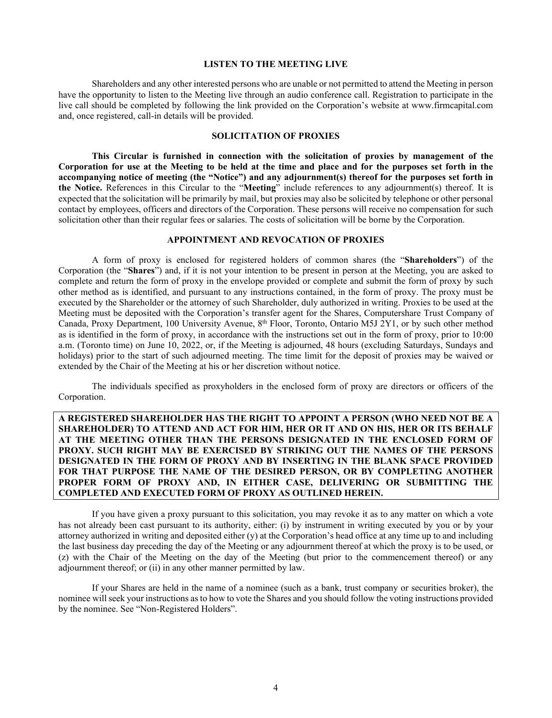#### **LISTEN TO THE MEETING LIVE**

Shareholders and any other interested persons who are unable or not permitted to attend the Meeting in person have the opportunity to listen to the Meeting live through an audio conference call. Registration to participate in the live call should be completed by following the link provided on the Corporation's website at www.firmcapital.com and, once registered, call-in details will be provided.

#### **SOLICITATION OF PROXIES**

**This Circular is furnished in connection with the solicitation of proxies by management of the Corporation for use at the Meeting to be held at the time and place and for the purposes set forth in the accompanying notice of meeting (the "Notice") and any adjournment(s) thereof for the purposes set forth in the Notice.** References in this Circular to the "**Meeting**" include references to any adjournment(s) thereof. It is expected that the solicitation will be primarily by mail, but proxies may also be solicited by telephone or other personal contact by employees, officers and directors of the Corporation. These persons will receive no compensation for such solicitation other than their regular fees or salaries. The costs of solicitation will be borne by the Corporation.

## **APPOINTMENT AND REVOCATION OF PROXIES**

A form of proxy is enclosed for registered holders of common shares (the "**Shareholders**") of the Corporation (the "**Shares**") and, if it is not your intention to be present in person at the Meeting, you are asked to complete and return the form of proxy in the envelope provided or complete and submit the form of proxy by such other method as is identified, and pursuant to any instructions contained, in the form of proxy. The proxy must be executed by the Shareholder or the attorney of such Shareholder, duly authorized in writing. Proxies to be used at the Meeting must be deposited with the Corporation's transfer agent for the Shares, Computershare Trust Company of Canada, Proxy Department, 100 University Avenue,  $8<sup>th</sup>$  Floor, Toronto, Ontario M5J 2Y1, or by such other method as is identified in the form of proxy, in accordance with the instructions set out in the form of proxy, prior to 10:00 a.m. (Toronto time) on June 10, 2022, or, if the Meeting is adjourned, 48 hours (excluding Saturdays, Sundays and holidays) prior to the start of such adjourned meeting. The time limit for the deposit of proxies may be waived or extended by the Chair of the Meeting at his or her discretion without notice.

The individuals specified as proxyholders in the enclosed form of proxy are directors or officers of the Corporation.

**A REGISTERED SHAREHOLDER HAS THE RIGHT TO APPOINT A PERSON (WHO NEED NOT BE A SHAREHOLDER) TO ATTEND AND ACT FOR HIM, HER OR IT AND ON HIS, HER OR ITS BEHALF AT THE MEETING OTHER THAN THE PERSONS DESIGNATED IN THE ENCLOSED FORM OF PROXY. SUCH RIGHT MAY BE EXERCISED BY STRIKING OUT THE NAMES OF THE PERSONS DESIGNATED IN THE FORM OF PROXY AND BY INSERTING IN THE BLANK SPACE PROVIDED FOR THAT PURPOSE THE NAME OF THE DESIRED PERSON, OR BY COMPLETING ANOTHER PROPER FORM OF PROXY AND, IN EITHER CASE, DELIVERING OR SUBMITTING THE COMPLETED AND EXECUTED FORM OF PROXY AS OUTLINED HEREIN.**

If you have given a proxy pursuant to this solicitation, you may revoke it as to any matter on which a vote has not already been cast pursuant to its authority, either: (i) by instrument in writing executed by you or by your attorney authorized in writing and deposited either (y) at the Corporation's head office at any time up to and including the last business day preceding the day of the Meeting or any adjournment thereof at which the proxy is to be used, or (z) with the Chair of the Meeting on the day of the Meeting (but prior to the commencement thereof) or any adjournment thereof; or (ii) in any other manner permitted by law.

If your Shares are held in the name of a nominee (such as a bank, trust company or securities broker), the nominee will seek your instructions as to how to vote the Shares and you should follow the voting instructions provided by the nominee. See "Non-Registered Holders".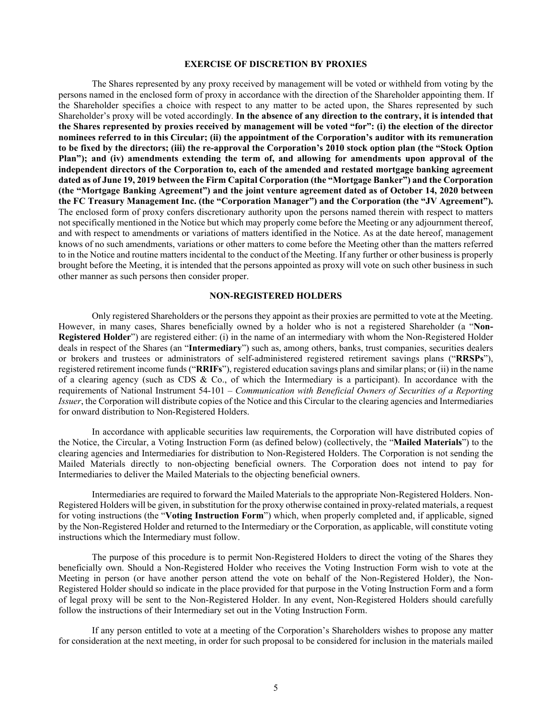#### **EXERCISE OF DISCRETION BY PROXIES**

The Shares represented by any proxy received by management will be voted or withheld from voting by the persons named in the enclosed form of proxy in accordance with the direction of the Shareholder appointing them. If the Shareholder specifies a choice with respect to any matter to be acted upon, the Shares represented by such Shareholder's proxy will be voted accordingly. **In the absence of any direction to the contrary, it is intended that the Shares represented by proxies received by management will be voted "for": (i) the election of the director nominees referred to in this Circular; (ii) the appointment of the Corporation's auditor with its remuneration to be fixed by the directors; (iii) the re-approval the Corporation's 2010 stock option plan (the "Stock Option Plan"); and (iv) amendments extending the term of, and allowing for amendments upon approval of the independent directors of the Corporation to, each of the amended and restated mortgage banking agreement dated as of June 19, 2019 between the Firm Capital Corporation (the "Mortgage Banker") and the Corporation (the "Mortgage Banking Agreement") and the joint venture agreement dated as of October 14, 2020 between the FC Treasury Management Inc. (the "Corporation Manager") and the Corporation (the "JV Agreement").** The enclosed form of proxy confers discretionary authority upon the persons named therein with respect to matters not specifically mentioned in the Notice but which may properly come before the Meeting or any adjournment thereof, and with respect to amendments or variations of matters identified in the Notice. As at the date hereof, management knows of no such amendments, variations or other matters to come before the Meeting other than the matters referred to in the Notice and routine matters incidental to the conduct of the Meeting. If any further or other business is properly brought before the Meeting, it is intended that the persons appointed as proxy will vote on such other business in such other manner as such persons then consider proper.

#### **NON-REGISTERED HOLDERS**

Only registered Shareholders or the persons they appoint as their proxies are permitted to vote at the Meeting. However, in many cases, Shares beneficially owned by a holder who is not a registered Shareholder (a "**Non-Registered Holder**") are registered either: (i) in the name of an intermediary with whom the Non-Registered Holder deals in respect of the Shares (an "**Intermediary**") such as, among others, banks, trust companies, securities dealers or brokers and trustees or administrators of self-administered registered retirement savings plans ("**RRSPs**"), registered retirement income funds ("**RRIFs**"), registered education savings plans and similar plans; or (ii) in the name of a clearing agency (such as CDS  $\&$  Co., of which the Intermediary is a participant). In accordance with the requirements of National Instrument 54-101 – *Communication with Beneficial Owners of Securities of a Reporting Issuer*, the Corporation will distribute copies of the Notice and this Circular to the clearing agencies and Intermediaries for onward distribution to Non-Registered Holders.

In accordance with applicable securities law requirements, the Corporation will have distributed copies of the Notice, the Circular, a Voting Instruction Form (as defined below) (collectively, the "**Mailed Materials**") to the clearing agencies and Intermediaries for distribution to Non-Registered Holders. The Corporation is not sending the Mailed Materials directly to non-objecting beneficial owners. The Corporation does not intend to pay for Intermediaries to deliver the Mailed Materials to the objecting beneficial owners.

Intermediaries are required to forward the Mailed Materials to the appropriate Non-Registered Holders. Non-Registered Holders will be given, in substitution for the proxy otherwise contained in proxy-related materials, a request for voting instructions (the "**Voting Instruction Form**") which, when properly completed and, if applicable, signed by the Non-Registered Holder and returned to the Intermediary or the Corporation, as applicable, will constitute voting instructions which the Intermediary must follow.

The purpose of this procedure is to permit Non-Registered Holders to direct the voting of the Shares they beneficially own. Should a Non-Registered Holder who receives the Voting Instruction Form wish to vote at the Meeting in person (or have another person attend the vote on behalf of the Non-Registered Holder), the Non-Registered Holder should so indicate in the place provided for that purpose in the Voting Instruction Form and a form of legal proxy will be sent to the Non-Registered Holder. In any event, Non-Registered Holders should carefully follow the instructions of their Intermediary set out in the Voting Instruction Form.

If any person entitled to vote at a meeting of the Corporation's Shareholders wishes to propose any matter for consideration at the next meeting, in order for such proposal to be considered for inclusion in the materials mailed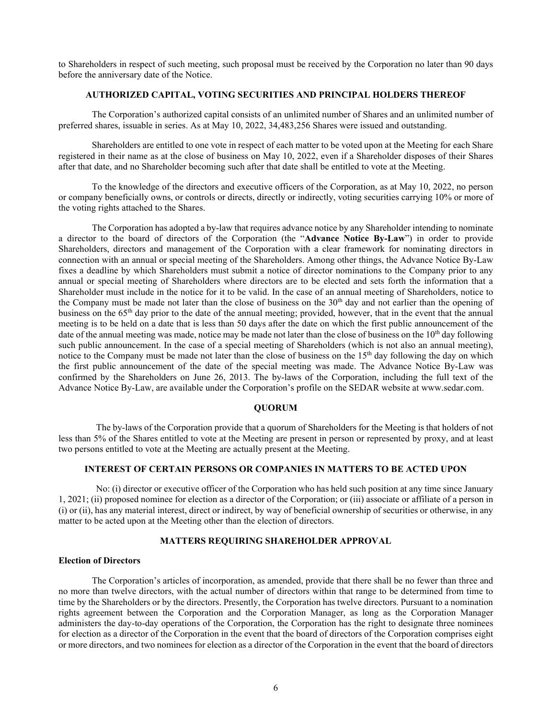to Shareholders in respect of such meeting, such proposal must be received by the Corporation no later than 90 days before the anniversary date of the Notice.

#### **AUTHORIZED CAPITAL, VOTING SECURITIES AND PRINCIPAL HOLDERS THEREOF**

The Corporation's authorized capital consists of an unlimited number of Shares and an unlimited number of preferred shares, issuable in series. As at May 10, 2022, 34,483,256 Shares were issued and outstanding.

Shareholders are entitled to one vote in respect of each matter to be voted upon at the Meeting for each Share registered in their name as at the close of business on May 10, 2022, even if a Shareholder disposes of their Shares after that date, and no Shareholder becoming such after that date shall be entitled to vote at the Meeting.

To the knowledge of the directors and executive officers of the Corporation, as at May 10, 2022, no person or company beneficially owns, or controls or directs, directly or indirectly, voting securities carrying 10% or more of the voting rights attached to the Shares.

The Corporation has adopted a by-law that requires advance notice by any Shareholder intending to nominate a director to the board of directors of the Corporation (the "**Advance Notice By-Law**") in order to provide Shareholders, directors and management of the Corporation with a clear framework for nominating directors in connection with an annual or special meeting of the Shareholders. Among other things, the Advance Notice By-Law fixes a deadline by which Shareholders must submit a notice of director nominations to the Company prior to any annual or special meeting of Shareholders where directors are to be elected and sets forth the information that a Shareholder must include in the notice for it to be valid. In the case of an annual meeting of Shareholders, notice to the Company must be made not later than the close of business on the  $30<sup>th</sup>$  day and not earlier than the opening of business on the 65th day prior to the date of the annual meeting; provided, however, that in the event that the annual meeting is to be held on a date that is less than 50 days after the date on which the first public announcement of the date of the annual meeting was made, notice may be made not later than the close of business on the  $10<sup>th</sup>$  day following such public announcement. In the case of a special meeting of Shareholders (which is not also an annual meeting), notice to the Company must be made not later than the close of business on the  $15<sup>th</sup>$  day following the day on which the first public announcement of the date of the special meeting was made. The Advance Notice By-Law was confirmed by the Shareholders on June 26, 2013. The by-laws of the Corporation, including the full text of the Advance Notice By-Law, are available under the Corporation's profile on the SEDAR website at www.sedar.com.

#### **QUORUM**

The by-laws of the Corporation provide that a quorum of Shareholders for the Meeting is that holders of not less than 5% of the Shares entitled to vote at the Meeting are present in person or represented by proxy, and at least two persons entitled to vote at the Meeting are actually present at the Meeting.

## **INTEREST OF CERTAIN PERSONS OR COMPANIES IN MATTERS TO BE ACTED UPON**

No: (i) director or executive officer of the Corporation who has held such position at any time since January 1, 2021; (ii) proposed nominee for election as a director of the Corporation; or (iii) associate or affiliate of a person in (i) or (ii), has any material interest, direct or indirect, by way of beneficial ownership of securities or otherwise, in any matter to be acted upon at the Meeting other than the election of directors.

#### **MATTERS REQUIRING SHAREHOLDER APPROVAL**

#### **Election of Directors**

The Corporation's articles of incorporation, as amended, provide that there shall be no fewer than three and no more than twelve directors, with the actual number of directors within that range to be determined from time to time by the Shareholders or by the directors. Presently, the Corporation has twelve directors. Pursuant to a nomination rights agreement between the Corporation and the Corporation Manager, as long as the Corporation Manager administers the day-to-day operations of the Corporation, the Corporation has the right to designate three nominees for election as a director of the Corporation in the event that the board of directors of the Corporation comprises eight or more directors, and two nominees for election as a director of the Corporation in the event that the board of directors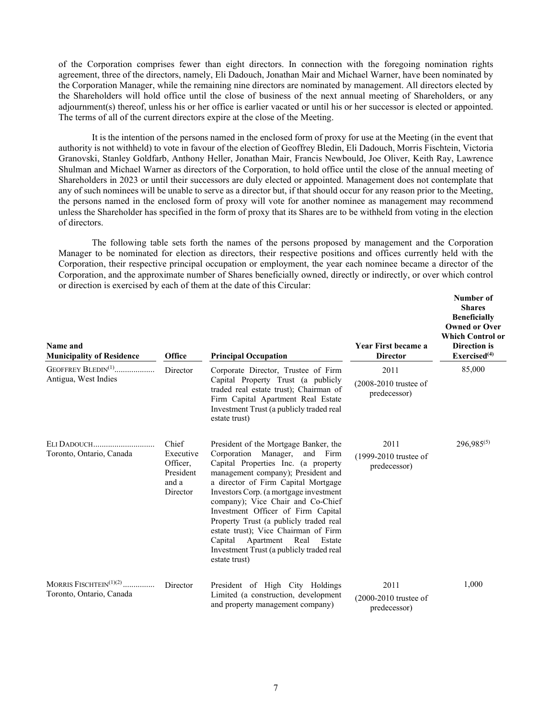of the Corporation comprises fewer than eight directors. In connection with the foregoing nomination rights agreement, three of the directors, namely, Eli Dadouch, Jonathan Mair and Michael Warner, have been nominated by the Corporation Manager, while the remaining nine directors are nominated by management. All directors elected by the Shareholders will hold office until the close of business of the next annual meeting of Shareholders, or any adjournment(s) thereof, unless his or her office is earlier vacated or until his or her successor is elected or appointed. The terms of all of the current directors expire at the close of the Meeting.

It is the intention of the persons named in the enclosed form of proxy for use at the Meeting (in the event that authority is not withheld) to vote in favour of the election of Geoffrey Bledin, Eli Dadouch, Morris Fischtein, Victoria Granovski, Stanley Goldfarb, Anthony Heller, Jonathan Mair, Francis Newbould, Joe Oliver, Keith Ray, Lawrence Shulman and Michael Warner as directors of the Corporation, to hold office until the close of the annual meeting of Shareholders in 2023 or until their successors are duly elected or appointed. Management does not contemplate that any of such nominees will be unable to serve as a director but, if that should occur for any reason prior to the Meeting, the persons named in the enclosed form of proxy will vote for another nominee as management may recommend unless the Shareholder has specified in the form of proxy that its Shares are to be withheld from voting in the election of directors.

The following table sets forth the names of the persons proposed by management and the Corporation Manager to be nominated for election as directors, their respective positions and offices currently held with the Corporation, their respective principal occupation or employment, the year each nominee became a director of the Corporation, and the approximate number of Shares beneficially owned, directly or indirectly, or over which control or direction is exercised by each of them at the date of this Circular:

| Name and<br><b>Municipality of Residence</b>             | <b>Office</b>                                                    | <b>Principal Occupation</b>                                                                                                                                                                                                                                                                                                                                                                                                                                                                                    | <b>Year First became a</b><br><b>Director</b>   | Number of<br><b>Shares</b><br><b>Beneficially</b><br><b>Owned or Over</b><br><b>Which Control or</b><br>Direction is<br>Exercised <sup>(4)</sup> |
|----------------------------------------------------------|------------------------------------------------------------------|----------------------------------------------------------------------------------------------------------------------------------------------------------------------------------------------------------------------------------------------------------------------------------------------------------------------------------------------------------------------------------------------------------------------------------------------------------------------------------------------------------------|-------------------------------------------------|--------------------------------------------------------------------------------------------------------------------------------------------------|
| GEOFFREY BLEDIN <sup>(1)</sup><br>Antigua, West Indies   | Director                                                         | Corporate Director, Trustee of Firm<br>Capital Property Trust (a publicly                                                                                                                                                                                                                                                                                                                                                                                                                                      | 2011                                            | 85,000                                                                                                                                           |
|                                                          |                                                                  | traded real estate trust); Chairman of<br>Firm Capital Apartment Real Estate<br>Investment Trust (a publicly traded real<br>estate trust)                                                                                                                                                                                                                                                                                                                                                                      | $(2008-2010$ trustee of<br>predecessor)         |                                                                                                                                                  |
| Toronto, Ontario, Canada                                 | Chief<br>Executive<br>Officer,<br>President<br>and a<br>Director | President of the Mortgage Banker, the<br>Corporation<br>Manager,<br>and Firm<br>Capital Properties Inc. (a property<br>management company); President and<br>a director of Firm Capital Mortgage<br>Investors Corp. (a mortgage investment<br>company); Vice Chair and Co-Chief<br>Investment Officer of Firm Capital<br>Property Trust (a publicly traded real<br>estate trust); Vice Chairman of Firm<br>Apartment<br>Capital<br>Real<br>Estate<br>Investment Trust (a publicly traded real<br>estate trust) | 2011<br>(1999-2010 trustee of<br>predecessor)   | 296,985(5)                                                                                                                                       |
| MORRIS FISCHTEIN $^{(1)(2)}$<br>Toronto, Ontario, Canada | Director                                                         | President of High City Holdings<br>Limited (a construction, development<br>and property management company)                                                                                                                                                                                                                                                                                                                                                                                                    | 2011<br>$(2000-2010$ trustee of<br>predecessor) | 1,000                                                                                                                                            |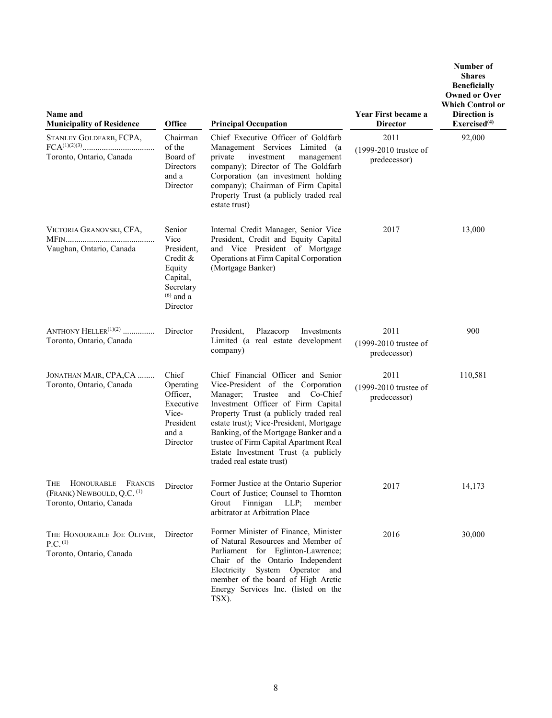| Name and<br><b>Municipality of Residence</b>                                                | Office                                                                                                 | <b>Principal Occupation</b>                                                                                                                                                                                                                                                                                                                                                                      | Year First became a<br><b>Director</b>        | Number of<br><b>Shares</b><br><b>Beneficially</b><br><b>Owned or Over</b><br><b>Which Control or</b><br>Direction is<br>Exercised <sup>(4)</sup> |
|---------------------------------------------------------------------------------------------|--------------------------------------------------------------------------------------------------------|--------------------------------------------------------------------------------------------------------------------------------------------------------------------------------------------------------------------------------------------------------------------------------------------------------------------------------------------------------------------------------------------------|-----------------------------------------------|--------------------------------------------------------------------------------------------------------------------------------------------------|
| STANLEY GOLDFARB, FCPA,                                                                     | Chairman                                                                                               | Chief Executive Officer of Goldfarb                                                                                                                                                                                                                                                                                                                                                              | 2011                                          | 92,000                                                                                                                                           |
| Toronto, Ontario, Canada                                                                    | of the<br>Board of<br><b>Directors</b><br>and a<br>Director                                            | Management Services Limited (a<br>private<br>investment<br>management<br>company); Director of The Goldfarb<br>Corporation (an investment holding<br>company); Chairman of Firm Capital<br>Property Trust (a publicly traded real<br>estate trust)                                                                                                                                               | (1999-2010 trustee of<br>predecessor)         |                                                                                                                                                  |
| VICTORIA GRANOVSKI, CFA,<br>Vaughan, Ontario, Canada                                        | Senior<br>Vice<br>President,<br>Credit &<br>Equity<br>Capital,<br>Secretary<br>$(6)$ and a<br>Director | Internal Credit Manager, Senior Vice<br>President, Credit and Equity Capital<br>and Vice President of Mortgage<br>Operations at Firm Capital Corporation<br>(Mortgage Banker)                                                                                                                                                                                                                    | 2017                                          | 13,000                                                                                                                                           |
| ANTHONY HELLER $(1)(2)$<br>Toronto, Ontario, Canada                                         | Director                                                                                               | President,<br>Plazacorp<br>Investments<br>Limited (a real estate development<br>company)                                                                                                                                                                                                                                                                                                         | 2011<br>(1999-2010 trustee of<br>predecessor) | 900                                                                                                                                              |
| JONATHAN MAIR, CPA, CA<br>Toronto, Ontario, Canada                                          | Chief<br>Operating<br>Officer,<br>Executive<br>Vice-<br>President<br>and a<br>Director                 | Chief Financial Officer and Senior<br>Vice-President of the Corporation<br>Manager;<br>Trustee<br>and Co-Chief<br>Investment Officer of Firm Capital<br>Property Trust (a publicly traded real<br>estate trust); Vice-President, Mortgage<br>Banking, of the Mortgage Banker and a<br>trustee of Firm Capital Apartment Real<br>Estate Investment Trust (a publicly<br>traded real estate trust) | 2011<br>(1999-2010 trustee of<br>predecessor) | 110,581                                                                                                                                          |
| THE HONOURABLE FRANCIS<br>(FRANK) NEWBOULD, Q.C. <sup>(1)</sup><br>Toronto, Ontario, Canada | Director                                                                                               | Former Justice at the Ontario Superior<br>Court of Justice; Counsel to Thornton<br>Grout<br>Finnigan<br>$LLP$ ;<br>member<br>arbitrator at Arbitration Place                                                                                                                                                                                                                                     | 2017                                          | 14,173                                                                                                                                           |
| THE HONOURABLE JOE OLIVER,<br>P.C. <sup>(1)</sup><br>Toronto, Ontario, Canada               | Director                                                                                               | Former Minister of Finance, Minister<br>of Natural Resources and Member of<br>Parliament for Eglinton-Lawrence;<br>Chair of the Ontario Independent<br>Electricity System Operator and<br>member of the board of High Arctic<br>Energy Services Inc. (listed on the<br>TSX).                                                                                                                     | 2016                                          | 30,000                                                                                                                                           |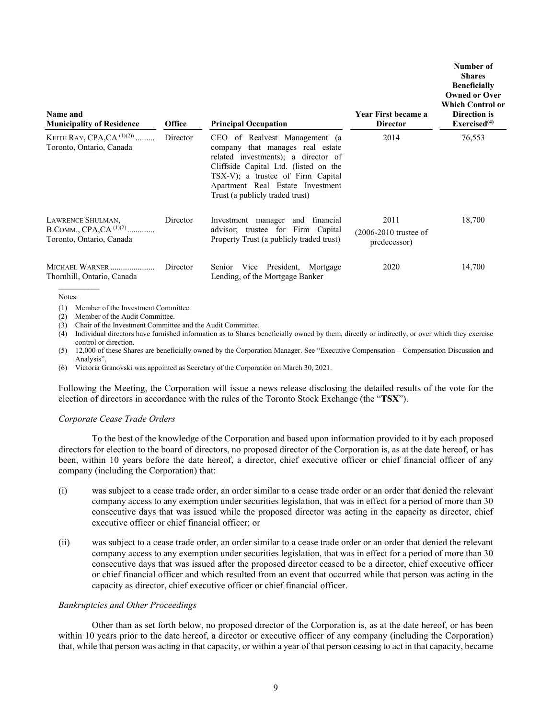| Name and<br><b>Municipality of Residence</b>                                 | <b>Office</b> | <b>Principal Occupation</b>                                                                                                                                                                                                                                   | Year First became a<br><b>Director</b>          | Number of<br><b>Shares</b><br><b>Beneficially</b><br><b>Owned or Over</b><br><b>Which Control or</b><br>Direction is<br>Exercised <sup>(4)</sup> |
|------------------------------------------------------------------------------|---------------|---------------------------------------------------------------------------------------------------------------------------------------------------------------------------------------------------------------------------------------------------------------|-------------------------------------------------|--------------------------------------------------------------------------------------------------------------------------------------------------|
| KEITH RAY, CPA, CA $^{(1)(2)}$<br>Toronto, Ontario, Canada                   | Director      | CEO of Realvest Management (a<br>company that manages real estate<br>related investments); a director of<br>Cliffside Capital Ltd. (listed on the<br>TSX-V); a trustee of Firm Capital<br>Apartment Real Estate Investment<br>Trust (a publicly traded trust) | 2014                                            | 76,553                                                                                                                                           |
| LAWRENCE SHULMAN,<br>B.COMM., CPA,CA $^{(1)(2)}$<br>Toronto, Ontario, Canada | Director      | Investment manager and financial<br>advisor; trustee for Firm Capital<br>Property Trust (a publicly traded trust)                                                                                                                                             | 2011<br>$(2006-2010$ trustee of<br>predecessor) | 18,700                                                                                                                                           |
| MICHAEL WARNER<br>Thornhill, Ontario, Canada                                 | Director      | Senior Vice President, Mortgage<br>Lending, of the Mortgage Banker                                                                                                                                                                                            | 2020                                            | 14,700                                                                                                                                           |

Notes:

(1) Member of the Investment Committee.

(2) Member of the Audit Committee.

(3) Chair of the Investment Committee and the Audit Committee.

(4) Individual directors have furnished information as to Shares beneficially owned by them, directly or indirectly, or over which they exercise control or direction.

(5) 12,000 of these Shares are beneficially owned by the Corporation Manager. See "Executive Compensation – Compensation Discussion and Analysis".

(6) Victoria Granovski was appointed as Secretary of the Corporation on March 30, 2021.

Following the Meeting, the Corporation will issue a news release disclosing the detailed results of the vote for the election of directors in accordance with the rules of the Toronto Stock Exchange (the "**TSX**").

#### *Corporate Cease Trade Orders*

To the best of the knowledge of the Corporation and based upon information provided to it by each proposed directors for election to the board of directors, no proposed director of the Corporation is, as at the date hereof, or has been, within 10 years before the date hereof, a director, chief executive officer or chief financial officer of any company (including the Corporation) that:

- (i) was subject to a cease trade order, an order similar to a cease trade order or an order that denied the relevant company access to any exemption under securities legislation, that was in effect for a period of more than 30 consecutive days that was issued while the proposed director was acting in the capacity as director, chief executive officer or chief financial officer; or
- (ii) was subject to a cease trade order, an order similar to a cease trade order or an order that denied the relevant company access to any exemption under securities legislation, that was in effect for a period of more than 30 consecutive days that was issued after the proposed director ceased to be a director, chief executive officer or chief financial officer and which resulted from an event that occurred while that person was acting in the capacity as director, chief executive officer or chief financial officer.

#### *Bankruptcies and Other Proceedings*

Other than as set forth below, no proposed director of the Corporation is, as at the date hereof, or has been within 10 years prior to the date hereof, a director or executive officer of any company (including the Corporation) that, while that person was acting in that capacity, or within a year of that person ceasing to act in that capacity, became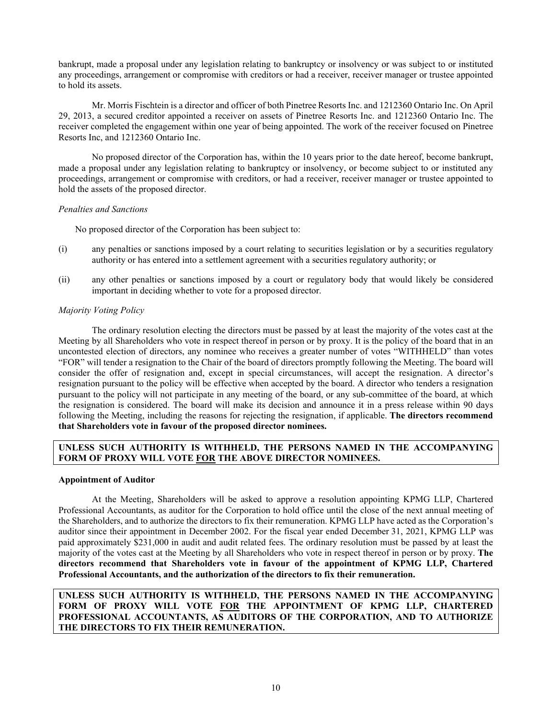bankrupt, made a proposal under any legislation relating to bankruptcy or insolvency or was subject to or instituted any proceedings, arrangement or compromise with creditors or had a receiver, receiver manager or trustee appointed to hold its assets.

Mr. Morris Fischtein is a director and officer of both Pinetree Resorts Inc. and 1212360 Ontario Inc. On April 29, 2013, a secured creditor appointed a receiver on assets of Pinetree Resorts Inc. and 1212360 Ontario Inc. The receiver completed the engagement within one year of being appointed. The work of the receiver focused on Pinetree Resorts Inc, and 1212360 Ontario Inc.

No proposed director of the Corporation has, within the 10 years prior to the date hereof, become bankrupt, made a proposal under any legislation relating to bankruptcy or insolvency, or become subject to or instituted any proceedings, arrangement or compromise with creditors, or had a receiver, receiver manager or trustee appointed to hold the assets of the proposed director.

#### *Penalties and Sanctions*

No proposed director of the Corporation has been subject to:

- (i) any penalties or sanctions imposed by a court relating to securities legislation or by a securities regulatory authority or has entered into a settlement agreement with a securities regulatory authority; or
- (ii) any other penalties or sanctions imposed by a court or regulatory body that would likely be considered important in deciding whether to vote for a proposed director.

# *Majority Voting Policy*

The ordinary resolution electing the directors must be passed by at least the majority of the votes cast at the Meeting by all Shareholders who vote in respect thereof in person or by proxy. It is the policy of the board that in an uncontested election of directors, any nominee who receives a greater number of votes "WITHHELD" than votes "FOR" will tender a resignation to the Chair of the board of directors promptly following the Meeting. The board will consider the offer of resignation and, except in special circumstances, will accept the resignation. A director's resignation pursuant to the policy will be effective when accepted by the board. A director who tenders a resignation pursuant to the policy will not participate in any meeting of the board, or any sub-committee of the board, at which the resignation is considered. The board will make its decision and announce it in a press release within 90 days following the Meeting, including the reasons for rejecting the resignation, if applicable. **The directors recommend that Shareholders vote in favour of the proposed director nominees.**

# **UNLESS SUCH AUTHORITY IS WITHHELD, THE PERSONS NAMED IN THE ACCOMPANYING FORM OF PROXY WILL VOTE FOR THE ABOVE DIRECTOR NOMINEES.**

# **Appointment of Auditor**

At the Meeting, Shareholders will be asked to approve a resolution appointing KPMG LLP, Chartered Professional Accountants, as auditor for the Corporation to hold office until the close of the next annual meeting of the Shareholders, and to authorize the directors to fix their remuneration. KPMG LLP have acted as the Corporation's auditor since their appointment in December 2002. For the fiscal year ended December 31, 2021, KPMG LLP was paid approximately \$231,000 in audit and audit related fees. The ordinary resolution must be passed by at least the majority of the votes cast at the Meeting by all Shareholders who vote in respect thereof in person or by proxy. **The directors recommend that Shareholders vote in favour of the appointment of KPMG LLP, Chartered Professional Accountants, and the authorization of the directors to fix their remuneration.**

# **UNLESS SUCH AUTHORITY IS WITHHELD, THE PERSONS NAMED IN THE ACCOMPANYING FORM OF PROXY WILL VOTE FOR THE APPOINTMENT OF KPMG LLP, CHARTERED PROFESSIONAL ACCOUNTANTS, AS AUDITORS OF THE CORPORATION, AND TO AUTHORIZE THE DIRECTORS TO FIX THEIR REMUNERATION.**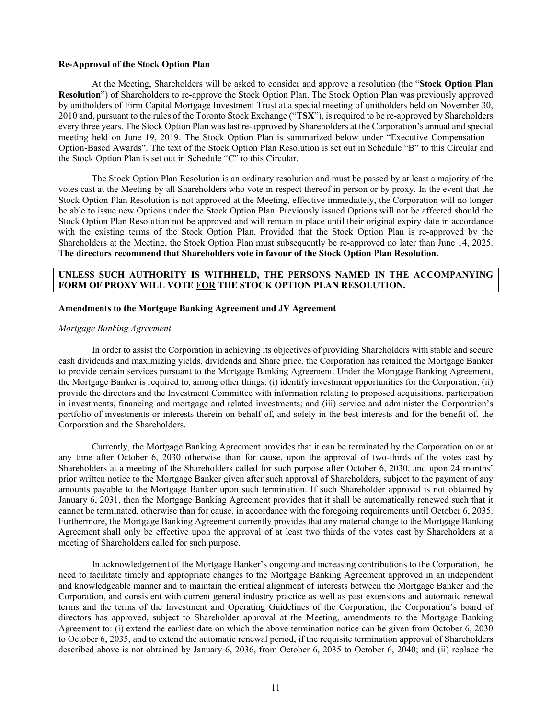#### **Re-Approval of the Stock Option Plan**

At the Meeting, Shareholders will be asked to consider and approve a resolution (the "**Stock Option Plan Resolution**") of Shareholders to re-approve the Stock Option Plan. The Stock Option Plan was previously approved by unitholders of Firm Capital Mortgage Investment Trust at a special meeting of unitholders held on November 30, 2010 and, pursuant to the rules of the Toronto Stock Exchange ("**TSX**"), is required to be re-approved by Shareholders every three years. The Stock Option Plan was last re-approved by Shareholders at the Corporation's annual and special meeting held on June 19, 2019. The Stock Option Plan is summarized below under "Executive Compensation – Option-Based Awards". The text of the Stock Option Plan Resolution is set out in Schedule "B" to this Circular and the Stock Option Plan is set out in Schedule "C" to this Circular.

The Stock Option Plan Resolution is an ordinary resolution and must be passed by at least a majority of the votes cast at the Meeting by all Shareholders who vote in respect thereof in person or by proxy. In the event that the Stock Option Plan Resolution is not approved at the Meeting, effective immediately, the Corporation will no longer be able to issue new Options under the Stock Option Plan. Previously issued Options will not be affected should the Stock Option Plan Resolution not be approved and will remain in place until their original expiry date in accordance with the existing terms of the Stock Option Plan. Provided that the Stock Option Plan is re-approved by the Shareholders at the Meeting, the Stock Option Plan must subsequently be re-approved no later than June 14, 2025. **The directors recommend that Shareholders vote in favour of the Stock Option Plan Resolution.**

# **UNLESS SUCH AUTHORITY IS WITHHELD, THE PERSONS NAMED IN THE ACCOMPANYING FORM OF PROXY WILL VOTE FOR THE STOCK OPTION PLAN RESOLUTION.**

#### **Amendments to the Mortgage Banking Agreement and JV Agreement**

# *Mortgage Banking Agreement*

In order to assist the Corporation in achieving its objectives of providing Shareholders with stable and secure cash dividends and maximizing yields, dividends and Share price, the Corporation has retained the Mortgage Banker to provide certain services pursuant to the Mortgage Banking Agreement. Under the Mortgage Banking Agreement, the Mortgage Banker is required to, among other things: (i) identify investment opportunities for the Corporation; (ii) provide the directors and the Investment Committee with information relating to proposed acquisitions, participation in investments, financing and mortgage and related investments; and (iii) service and administer the Corporation's portfolio of investments or interests therein on behalf of, and solely in the best interests and for the benefit of, the Corporation and the Shareholders.

Currently, the Mortgage Banking Agreement provides that it can be terminated by the Corporation on or at any time after October 6, 2030 otherwise than for cause, upon the approval of two-thirds of the votes cast by Shareholders at a meeting of the Shareholders called for such purpose after October 6, 2030, and upon 24 months' prior written notice to the Mortgage Banker given after such approval of Shareholders, subject to the payment of any amounts payable to the Mortgage Banker upon such termination. If such Shareholder approval is not obtained by January 6, 2031, then the Mortgage Banking Agreement provides that it shall be automatically renewed such that it cannot be terminated, otherwise than for cause, in accordance with the foregoing requirements until October 6, 2035. Furthermore, the Mortgage Banking Agreement currently provides that any material change to the Mortgage Banking Agreement shall only be effective upon the approval of at least two thirds of the votes cast by Shareholders at a meeting of Shareholders called for such purpose.

In acknowledgement of the Mortgage Banker's ongoing and increasing contributions to the Corporation, the need to facilitate timely and appropriate changes to the Mortgage Banking Agreement approved in an independent and knowledgeable manner and to maintain the critical alignment of interests between the Mortgage Banker and the Corporation, and consistent with current general industry practice as well as past extensions and automatic renewal terms and the terms of the Investment and Operating Guidelines of the Corporation, the Corporation's board of directors has approved, subject to Shareholder approval at the Meeting, amendments to the Mortgage Banking Agreement to: (i) extend the earliest date on which the above termination notice can be given from October 6, 2030 to October 6, 2035, and to extend the automatic renewal period, if the requisite termination approval of Shareholders described above is not obtained by January 6, 2036, from October 6, 2035 to October 6, 2040; and (ii) replace the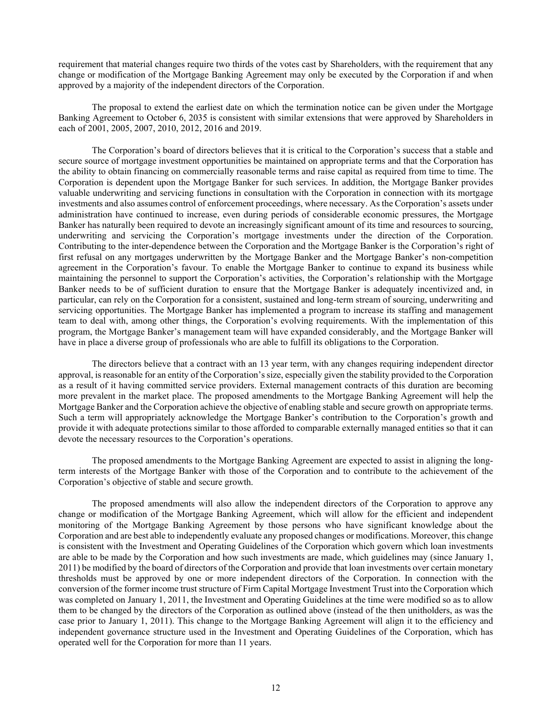requirement that material changes require two thirds of the votes cast by Shareholders, with the requirement that any change or modification of the Mortgage Banking Agreement may only be executed by the Corporation if and when approved by a majority of the independent directors of the Corporation.

The proposal to extend the earliest date on which the termination notice can be given under the Mortgage Banking Agreement to October 6, 2035 is consistent with similar extensions that were approved by Shareholders in each of 2001, 2005, 2007, 2010, 2012, 2016 and 2019.

The Corporation's board of directors believes that it is critical to the Corporation's success that a stable and secure source of mortgage investment opportunities be maintained on appropriate terms and that the Corporation has the ability to obtain financing on commercially reasonable terms and raise capital as required from time to time. The Corporation is dependent upon the Mortgage Banker for such services. In addition, the Mortgage Banker provides valuable underwriting and servicing functions in consultation with the Corporation in connection with its mortgage investments and also assumes control of enforcement proceedings, where necessary. As the Corporation's assets under administration have continued to increase, even during periods of considerable economic pressures, the Mortgage Banker has naturally been required to devote an increasingly significant amount of its time and resources to sourcing, underwriting and servicing the Corporation's mortgage investments under the direction of the Corporation. Contributing to the inter-dependence between the Corporation and the Mortgage Banker is the Corporation's right of first refusal on any mortgages underwritten by the Mortgage Banker and the Mortgage Banker's non-competition agreement in the Corporation's favour. To enable the Mortgage Banker to continue to expand its business while maintaining the personnel to support the Corporation's activities, the Corporation's relationship with the Mortgage Banker needs to be of sufficient duration to ensure that the Mortgage Banker is adequately incentivized and, in particular, can rely on the Corporation for a consistent, sustained and long-term stream of sourcing, underwriting and servicing opportunities. The Mortgage Banker has implemented a program to increase its staffing and management team to deal with, among other things, the Corporation's evolving requirements. With the implementation of this program, the Mortgage Banker's management team will have expanded considerably, and the Mortgage Banker will have in place a diverse group of professionals who are able to fulfill its obligations to the Corporation.

The directors believe that a contract with an 13 year term, with any changes requiring independent director approval, is reasonable for an entity of the Corporation's size, especially given the stability provided to the Corporation as a result of it having committed service providers. External management contracts of this duration are becoming more prevalent in the market place. The proposed amendments to the Mortgage Banking Agreement will help the Mortgage Banker and the Corporation achieve the objective of enabling stable and secure growth on appropriate terms. Such a term will appropriately acknowledge the Mortgage Banker's contribution to the Corporation's growth and provide it with adequate protections similar to those afforded to comparable externally managed entities so that it can devote the necessary resources to the Corporation's operations.

The proposed amendments to the Mortgage Banking Agreement are expected to assist in aligning the longterm interests of the Mortgage Banker with those of the Corporation and to contribute to the achievement of the Corporation's objective of stable and secure growth.

The proposed amendments will also allow the independent directors of the Corporation to approve any change or modification of the Mortgage Banking Agreement, which will allow for the efficient and independent monitoring of the Mortgage Banking Agreement by those persons who have significant knowledge about the Corporation and are best able to independently evaluate any proposed changes or modifications. Moreover, this change is consistent with the Investment and Operating Guidelines of the Corporation which govern which loan investments are able to be made by the Corporation and how such investments are made, which guidelines may (since January 1, 2011) be modified by the board of directors of the Corporation and provide that loan investments over certain monetary thresholds must be approved by one or more independent directors of the Corporation. In connection with the conversion of the former income trust structure of Firm Capital Mortgage Investment Trust into the Corporation which was completed on January 1, 2011, the Investment and Operating Guidelines at the time were modified so as to allow them to be changed by the directors of the Corporation as outlined above (instead of the then unitholders, as was the case prior to January 1, 2011). This change to the Mortgage Banking Agreement will align it to the efficiency and independent governance structure used in the Investment and Operating Guidelines of the Corporation, which has operated well for the Corporation for more than 11 years.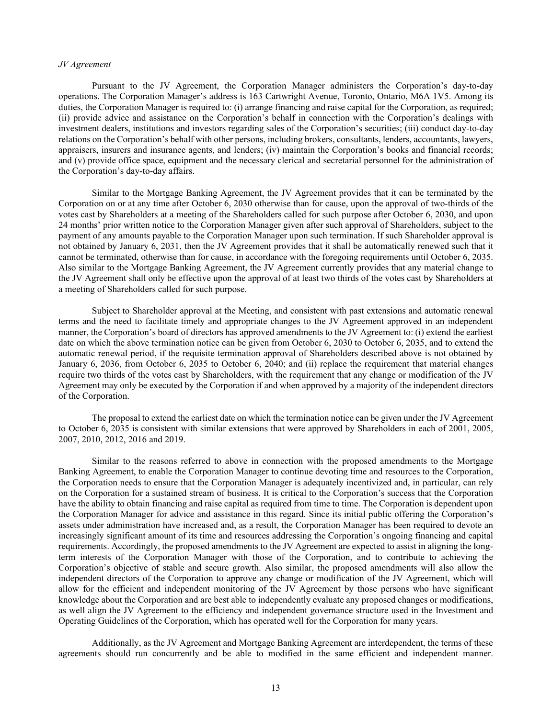#### *JV Agreement*

Pursuant to the JV Agreement, the Corporation Manager administers the Corporation's day-to-day operations. The Corporation Manager's address is 163 Cartwright Avenue, Toronto, Ontario, M6A 1V5. Among its duties, the Corporation Manager is required to: (i) arrange financing and raise capital for the Corporation, as required; (ii) provide advice and assistance on the Corporation's behalf in connection with the Corporation's dealings with investment dealers, institutions and investors regarding sales of the Corporation's securities; (iii) conduct day-to-day relations on the Corporation's behalf with other persons, including brokers, consultants, lenders, accountants, lawyers, appraisers, insurers and insurance agents, and lenders; (iv) maintain the Corporation's books and financial records; and (v) provide office space, equipment and the necessary clerical and secretarial personnel for the administration of the Corporation's day-to-day affairs.

Similar to the Mortgage Banking Agreement, the JV Agreement provides that it can be terminated by the Corporation on or at any time after October 6, 2030 otherwise than for cause, upon the approval of two-thirds of the votes cast by Shareholders at a meeting of the Shareholders called for such purpose after October 6, 2030, and upon 24 months' prior written notice to the Corporation Manager given after such approval of Shareholders, subject to the payment of any amounts payable to the Corporation Manager upon such termination. If such Shareholder approval is not obtained by January 6, 2031, then the JV Agreement provides that it shall be automatically renewed such that it cannot be terminated, otherwise than for cause, in accordance with the foregoing requirements until October 6, 2035. Also similar to the Mortgage Banking Agreement, the JV Agreement currently provides that any material change to the JV Agreement shall only be effective upon the approval of at least two thirds of the votes cast by Shareholders at a meeting of Shareholders called for such purpose.

Subject to Shareholder approval at the Meeting, and consistent with past extensions and automatic renewal terms and the need to facilitate timely and appropriate changes to the JV Agreement approved in an independent manner, the Corporation's board of directors has approved amendments to the JV Agreement to: (i) extend the earliest date on which the above termination notice can be given from October 6, 2030 to October 6, 2035, and to extend the automatic renewal period, if the requisite termination approval of Shareholders described above is not obtained by January 6, 2036, from October 6, 2035 to October 6, 2040; and (ii) replace the requirement that material changes require two thirds of the votes cast by Shareholders, with the requirement that any change or modification of the JV Agreement may only be executed by the Corporation if and when approved by a majority of the independent directors of the Corporation.

The proposal to extend the earliest date on which the termination notice can be given under the JV Agreement to October 6, 2035 is consistent with similar extensions that were approved by Shareholders in each of 2001, 2005, 2007, 2010, 2012, 2016 and 2019.

Similar to the reasons referred to above in connection with the proposed amendments to the Mortgage Banking Agreement, to enable the Corporation Manager to continue devoting time and resources to the Corporation, the Corporation needs to ensure that the Corporation Manager is adequately incentivized and, in particular, can rely on the Corporation for a sustained stream of business. It is critical to the Corporation's success that the Corporation have the ability to obtain financing and raise capital as required from time to time. The Corporation is dependent upon the Corporation Manager for advice and assistance in this regard. Since its initial public offering the Corporation's assets under administration have increased and, as a result, the Corporation Manager has been required to devote an increasingly significant amount of its time and resources addressing the Corporation's ongoing financing and capital requirements. Accordingly, the proposed amendments to the JV Agreement are expected to assist in aligning the longterm interests of the Corporation Manager with those of the Corporation, and to contribute to achieving the Corporation's objective of stable and secure growth. Also similar, the proposed amendments will also allow the independent directors of the Corporation to approve any change or modification of the JV Agreement, which will allow for the efficient and independent monitoring of the JV Agreement by those persons who have significant knowledge about the Corporation and are best able to independently evaluate any proposed changes or modifications, as well align the JV Agreement to the efficiency and independent governance structure used in the Investment and Operating Guidelines of the Corporation, which has operated well for the Corporation for many years.

Additionally, as the JV Agreement and Mortgage Banking Agreement are interdependent, the terms of these agreements should run concurrently and be able to modified in the same efficient and independent manner.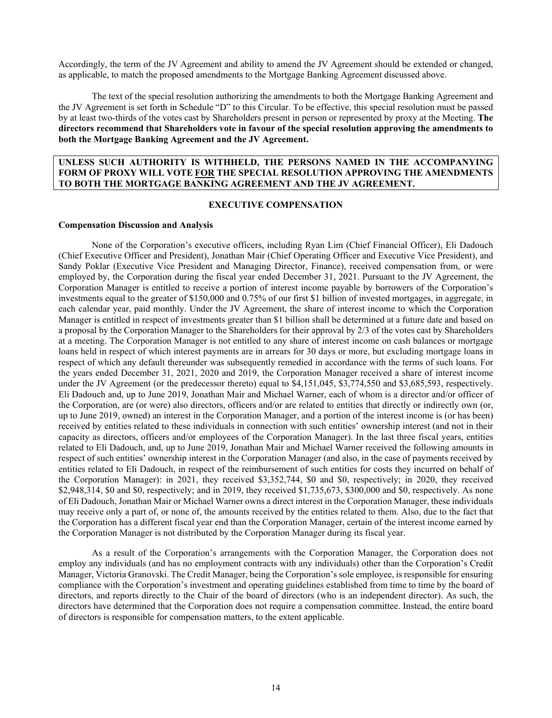Accordingly, the term of the JV Agreement and ability to amend the JV Agreement should be extended or changed, as applicable, to match the proposed amendments to the Mortgage Banking Agreement discussed above.

The text of the special resolution authorizing the amendments to both the Mortgage Banking Agreement and the JV Agreement is set forth in Schedule "D" to this Circular. To be effective, this special resolution must be passed by at least two-thirds of the votes cast by Shareholders present in person or represented by proxy at the Meeting. **The directors recommend that Shareholders vote in favour of the special resolution approving the amendments to both the Mortgage Banking Agreement and the JV Agreement.**

#### **UNLESS SUCH AUTHORITY IS WITHHELD, THE PERSONS NAMED IN THE ACCOMPANYING FORM OF PROXY WILL VOTE FOR THE SPECIAL RESOLUTION APPROVING THE AMENDMENTS TO BOTH THE MORTGAGE BANKING AGREEMENT AND THE JV AGREEMENT.**

# **EXECUTIVE COMPENSATION**

#### **Compensation Discussion and Analysis**

None of the Corporation's executive officers, including Ryan Lim (Chief Financial Officer), Eli Dadouch (Chief Executive Officer and President), Jonathan Mair (Chief Operating Officer and Executive Vice President), and Sandy Poklar (Executive Vice President and Managing Director, Finance), received compensation from, or were employed by, the Corporation during the fiscal year ended December 31, 2021. Pursuant to the JV Agreement, the Corporation Manager is entitled to receive a portion of interest income payable by borrowers of the Corporation's investments equal to the greater of \$150,000 and 0.75% of our first \$1 billion of invested mortgages, in aggregate, in each calendar year, paid monthly. Under the JV Agreement, the share of interest income to which the Corporation Manager is entitled in respect of investments greater than \$1 billion shall be determined at a future date and based on a proposal by the Corporation Manager to the Shareholders for their approval by 2/3 of the votes cast by Shareholders at a meeting. The Corporation Manager is not entitled to any share of interest income on cash balances or mortgage loans held in respect of which interest payments are in arrears for 30 days or more, but excluding mortgage loans in respect of which any default thereunder was subsequently remedied in accordance with the terms of such loans. For the years ended December 31, 2021, 2020 and 2019, the Corporation Manager received a share of interest income under the JV Agreement (or the predecessor thereto) equal to \$4,151,045, \$3,774,550 and \$3,685,593, respectively. Eli Dadouch and, up to June 2019, Jonathan Mair and Michael Warner, each of whom is a director and/or officer of the Corporation, are (or were) also directors, officers and/or are related to entities that directly or indirectly own (or, up to June 2019, owned) an interest in the Corporation Manager, and a portion of the interest income is (or has been) received by entities related to these individuals in connection with such entities' ownership interest (and not in their capacity as directors, officers and/or employees of the Corporation Manager). In the last three fiscal years, entities related to Eli Dadouch, and, up to June 2019, Jonathan Mair and Michael Warner received the following amounts in respect of such entities' ownership interest in the Corporation Manager (and also, in the case of payments received by entities related to Eli Dadouch, in respect of the reimbursement of such entities for costs they incurred on behalf of the Corporation Manager): in 2021, they received \$3,352,744, \$0 and \$0, respectively; in 2020, they received \$2,948,314, \$0 and \$0, respectively; and in 2019, they received \$1,735,673, \$300,000 and \$0, respectively. As none of Eli Dadouch, Jonathan Mair or Michael Warner owns a direct interest in the Corporation Manager, these individuals may receive only a part of, or none of, the amounts received by the entities related to them. Also, due to the fact that the Corporation has a different fiscal year end than the Corporation Manager, certain of the interest income earned by the Corporation Manager is not distributed by the Corporation Manager during its fiscal year.

As a result of the Corporation's arrangements with the Corporation Manager, the Corporation does not employ any individuals (and has no employment contracts with any individuals) other than the Corporation's Credit Manager, Victoria Granovski. The Credit Manager, being the Corporation's sole employee, is responsible for ensuring compliance with the Corporation's investment and operating guidelines established from time to time by the board of directors, and reports directly to the Chair of the board of directors (who is an independent director). As such, the directors have determined that the Corporation does not require a compensation committee. Instead, the entire board of directors is responsible for compensation matters, to the extent applicable.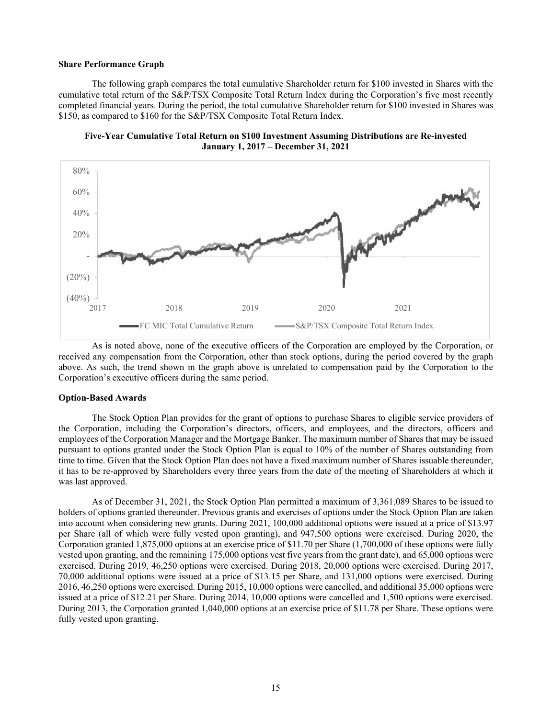#### **Share Performance Graph**

The following graph compares the total cumulative Shareholder return for \$100 invested in Shares with the cumulative total return of the S&P/TSX Composite Total Return Index during the Corporation's five most recently completed financial years. During the period, the total cumulative Shareholder return for \$100 invested in Shares was \$150, as compared to \$160 for the S&P/TSX Composite Total Return Index.





As is noted above, none of the executive officers of the Corporation are employed by the Corporation, or received any compensation from the Corporation, other than stock options, during the period covered by the graph above. As such, the trend shown in the graph above is unrelated to compensation paid by the Corporation to the Corporation's executive officers during the same period.

#### **Option-Based Awards**

The Stock Option Plan provides for the grant of options to purchase Shares to eligible service providers of the Corporation, including the Corporation's directors, officers, and employees, and the directors, officers and employees of the Corporation Manager and the Mortgage Banker. The maximum number of Shares that may be issued pursuant to options granted under the Stock Option Plan is equal to 10% of the number of Shares outstanding from time to time. Given that the Stock Option Plan does not have a fixed maximum number of Shares issuable thereunder, it has to be re-approved by Shareholders every three years from the date of the meeting of Shareholders at which it was last approved.

As of December 31, 2021, the Stock Option Plan permitted a maximum of 3,361,089 Shares to be issued to holders of options granted thereunder. Previous grants and exercises of options under the Stock Option Plan are taken into account when considering new grants. During 2021, 100,000 additional options were issued at a price of \$13.97 per Share (all of which were fully vested upon granting), and 947,500 options were exercised. During 2020, the Corporation granted 1,875,000 options at an exercise price of \$11.70 per Share (1,700,000 of these options were fully vested upon granting, and the remaining 175,000 options vest five years from the grant date), and 65,000 options were exercised. During 2019, 46,250 options were exercised. During 2018, 20,000 options were exercised. During 2017, 70,000 additional options were issued at a price of \$13.15 per Share, and 131,000 options were exercised. During 2016, 46,250 options were exercised. During 2015, 10,000 options were cancelled, and additional 35,000 options were issued at a price of \$12.21 per Share. During 2014, 10,000 options were cancelled and 1,500 options were exercised. During 2013, the Corporation granted 1,040,000 options at an exercise price of \$11.78 per Share. These options were fully vested upon granting.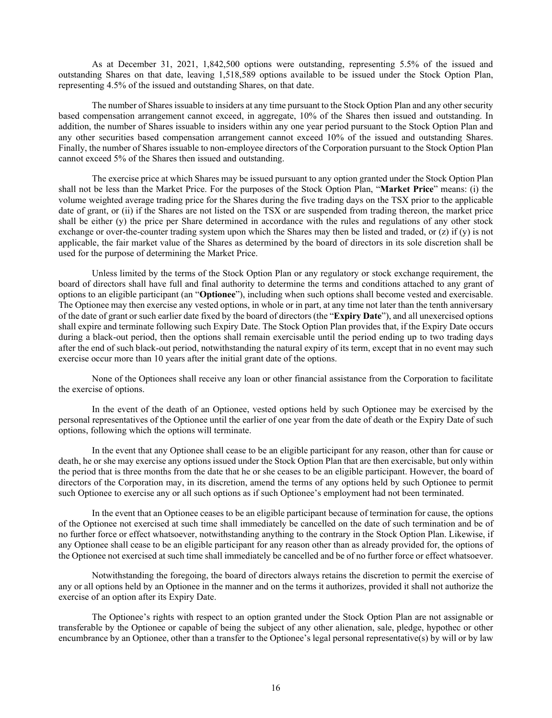As at December 31, 2021, 1,842,500 options were outstanding, representing 5.5% of the issued and outstanding Shares on that date, leaving 1,518,589 options available to be issued under the Stock Option Plan, representing 4.5% of the issued and outstanding Shares, on that date.

The number of Shares issuable to insiders at any time pursuant to the Stock Option Plan and any other security based compensation arrangement cannot exceed, in aggregate, 10% of the Shares then issued and outstanding. In addition, the number of Shares issuable to insiders within any one year period pursuant to the Stock Option Plan and any other securities based compensation arrangement cannot exceed 10% of the issued and outstanding Shares. Finally, the number of Shares issuable to non-employee directors of the Corporation pursuant to the Stock Option Plan cannot exceed 5% of the Shares then issued and outstanding.

The exercise price at which Shares may be issued pursuant to any option granted under the Stock Option Plan shall not be less than the Market Price. For the purposes of the Stock Option Plan, "**Market Price**" means: (i) the volume weighted average trading price for the Shares during the five trading days on the TSX prior to the applicable date of grant, or (ii) if the Shares are not listed on the TSX or are suspended from trading thereon, the market price shall be either (y) the price per Share determined in accordance with the rules and regulations of any other stock exchange or over-the-counter trading system upon which the Shares may then be listed and traded, or (z) if (y) is not applicable, the fair market value of the Shares as determined by the board of directors in its sole discretion shall be used for the purpose of determining the Market Price.

Unless limited by the terms of the Stock Option Plan or any regulatory or stock exchange requirement, the board of directors shall have full and final authority to determine the terms and conditions attached to any grant of options to an eligible participant (an "**Optionee**"), including when such options shall become vested and exercisable. The Optionee may then exercise any vested options, in whole or in part, at any time not later than the tenth anniversary of the date of grant or such earlier date fixed by the board of directors (the "**Expiry Date**"), and all unexercised options shall expire and terminate following such Expiry Date. The Stock Option Plan provides that, if the Expiry Date occurs during a black-out period, then the options shall remain exercisable until the period ending up to two trading days after the end of such black-out period, notwithstanding the natural expiry of its term, except that in no event may such exercise occur more than 10 years after the initial grant date of the options.

None of the Optionees shall receive any loan or other financial assistance from the Corporation to facilitate the exercise of options.

In the event of the death of an Optionee, vested options held by such Optionee may be exercised by the personal representatives of the Optionee until the earlier of one year from the date of death or the Expiry Date of such options, following which the options will terminate.

In the event that any Optionee shall cease to be an eligible participant for any reason, other than for cause or death, he or she may exercise any options issued under the Stock Option Plan that are then exercisable, but only within the period that is three months from the date that he or she ceases to be an eligible participant. However, the board of directors of the Corporation may, in its discretion, amend the terms of any options held by such Optionee to permit such Optionee to exercise any or all such options as if such Optionee's employment had not been terminated.

In the event that an Optionee ceases to be an eligible participant because of termination for cause, the options of the Optionee not exercised at such time shall immediately be cancelled on the date of such termination and be of no further force or effect whatsoever, notwithstanding anything to the contrary in the Stock Option Plan. Likewise, if any Optionee shall cease to be an eligible participant for any reason other than as already provided for, the options of the Optionee not exercised at such time shall immediately be cancelled and be of no further force or effect whatsoever.

Notwithstanding the foregoing, the board of directors always retains the discretion to permit the exercise of any or all options held by an Optionee in the manner and on the terms it authorizes, provided it shall not authorize the exercise of an option after its Expiry Date.

The Optionee's rights with respect to an option granted under the Stock Option Plan are not assignable or transferable by the Optionee or capable of being the subject of any other alienation, sale, pledge, hypothec or other encumbrance by an Optionee, other than a transfer to the Optionee's legal personal representative(s) by will or by law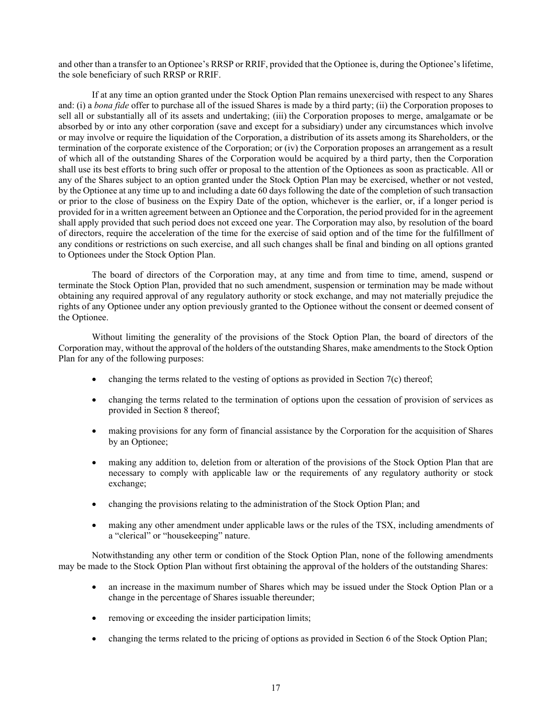and other than a transfer to an Optionee's RRSP or RRIF, provided that the Optionee is, during the Optionee's lifetime, the sole beneficiary of such RRSP or RRIF.

If at any time an option granted under the Stock Option Plan remains unexercised with respect to any Shares and: (i) a *bona fide* offer to purchase all of the issued Shares is made by a third party; (ii) the Corporation proposes to sell all or substantially all of its assets and undertaking; (iii) the Corporation proposes to merge, amalgamate or be absorbed by or into any other corporation (save and except for a subsidiary) under any circumstances which involve or may involve or require the liquidation of the Corporation, a distribution of its assets among its Shareholders, or the termination of the corporate existence of the Corporation; or (iv) the Corporation proposes an arrangement as a result of which all of the outstanding Shares of the Corporation would be acquired by a third party, then the Corporation shall use its best efforts to bring such offer or proposal to the attention of the Optionees as soon as practicable. All or any of the Shares subject to an option granted under the Stock Option Plan may be exercised, whether or not vested, by the Optionee at any time up to and including a date 60 days following the date of the completion of such transaction or prior to the close of business on the Expiry Date of the option, whichever is the earlier, or, if a longer period is provided for in a written agreement between an Optionee and the Corporation, the period provided for in the agreement shall apply provided that such period does not exceed one year. The Corporation may also, by resolution of the board of directors, require the acceleration of the time for the exercise of said option and of the time for the fulfillment of any conditions or restrictions on such exercise, and all such changes shall be final and binding on all options granted to Optionees under the Stock Option Plan.

The board of directors of the Corporation may, at any time and from time to time, amend, suspend or terminate the Stock Option Plan, provided that no such amendment, suspension or termination may be made without obtaining any required approval of any regulatory authority or stock exchange, and may not materially prejudice the rights of any Optionee under any option previously granted to the Optionee without the consent or deemed consent of the Optionee.

Without limiting the generality of the provisions of the Stock Option Plan, the board of directors of the Corporation may, without the approval of the holders of the outstanding Shares, make amendments to the Stock Option Plan for any of the following purposes:

- changing the terms related to the vesting of options as provided in Section 7(c) thereof;
- changing the terms related to the termination of options upon the cessation of provision of services as provided in Section 8 thereof;
- making provisions for any form of financial assistance by the Corporation for the acquisition of Shares by an Optionee;
- making any addition to, deletion from or alteration of the provisions of the Stock Option Plan that are necessary to comply with applicable law or the requirements of any regulatory authority or stock exchange;
- changing the provisions relating to the administration of the Stock Option Plan; and
- making any other amendment under applicable laws or the rules of the TSX, including amendments of a "clerical" or "housekeeping" nature.

Notwithstanding any other term or condition of the Stock Option Plan, none of the following amendments may be made to the Stock Option Plan without first obtaining the approval of the holders of the outstanding Shares:

- an increase in the maximum number of Shares which may be issued under the Stock Option Plan or a change in the percentage of Shares issuable thereunder;
- removing or exceeding the insider participation limits;
- changing the terms related to the pricing of options as provided in Section 6 of the Stock Option Plan;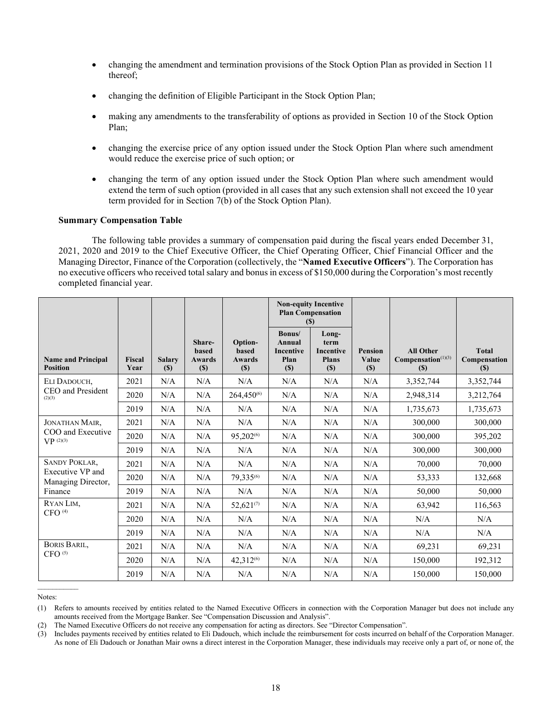- changing the amendment and termination provisions of the Stock Option Plan as provided in Section 11 thereof;
- changing the definition of Eligible Participant in the Stock Option Plan;
- making any amendments to the transferability of options as provided in Section 10 of the Stock Option Plan;
- changing the exercise price of any option issued under the Stock Option Plan where such amendment would reduce the exercise price of such option; or
- changing the term of any option issued under the Stock Option Plan where such amendment would extend the term of such option (provided in all cases that any such extension shall not exceed the 10 year term provided for in Section 7(b) of the Stock Option Plan).

#### **Summary Compensation Table**

The following table provides a summary of compensation paid during the fiscal years ended December 31, 2021, 2020 and 2019 to the Chief Executive Officer, the Chief Operating Officer, Chief Financial Officer and the Managing Director, Finance of the Corporation (collectively, the "**Named Executive Officers**"). The Corporation has no executive officers who received total salary and bonus in excess of \$150,000 during the Corporation's most recently completed financial year.

|                                              |                       |                      |                                                |                                                 |                                                     | <b>Non-equity Incentive</b><br><b>Plan Compensation</b><br>(S) |                                   |                                                 |                                     |
|----------------------------------------------|-----------------------|----------------------|------------------------------------------------|-------------------------------------------------|-----------------------------------------------------|----------------------------------------------------------------|-----------------------------------|-------------------------------------------------|-------------------------------------|
| <b>Name and Principal</b><br><b>Position</b> | <b>Fiscal</b><br>Year | <b>Salary</b><br>(S) | Share-<br><b>based</b><br><b>Awards</b><br>(S) | Option-<br><b>based</b><br><b>Awards</b><br>(S) | Bonus/<br>Annual<br><b>Incentive</b><br>Plan<br>(S) | Long-<br>term<br><b>Incentive</b><br><b>Plans</b><br>(S)       | <b>Pension</b><br>Value<br>$(\$)$ | <b>All Other</b><br>$Compensation(1)(3)$<br>(S) | <b>Total</b><br>Compensation<br>(S) |
| ELI DADOUCH,                                 | 2021                  | N/A                  | N/A                                            | N/A                                             | N/A                                                 | N/A                                                            | N/A                               | 3,352,744                                       | 3,352,744                           |
| CEO and President<br>(2)(3)                  | 2020                  | N/A                  | N/A                                            | 264,450 <sup>(6)</sup>                          | N/A                                                 | N/A                                                            | N/A                               | 2,948,314                                       | 3,212,764                           |
|                                              | 2019                  | N/A                  | N/A                                            | N/A                                             | N/A                                                 | N/A                                                            | N/A                               | 1,735,673                                       | 1,735,673                           |
| <b>JONATHAN MAIR,</b>                        | 2021                  | N/A                  | N/A                                            | N/A                                             | N/A                                                 | N/A                                                            | N/A                               | 300,000                                         | 300,000                             |
| COO and Executive<br>VP(2)(3)                | 2020                  | N/A                  | N/A                                            | 95,202 <sup>(6)</sup>                           | N/A                                                 | N/A                                                            | N/A                               | 300,000                                         | 395,202                             |
|                                              | 2019                  | N/A                  | N/A                                            | N/A                                             | N/A                                                 | N/A                                                            | N/A                               | 300,000                                         | 300,000                             |
| <b>SANDY POKLAR,</b>                         | 2021                  | N/A                  | N/A                                            | N/A                                             | N/A                                                 | N/A                                                            | N/A                               | 70,000                                          | 70,000                              |
| Executive VP and<br>Managing Director,       | 2020                  | N/A                  | N/A                                            | 79,335(6)                                       | N/A                                                 | N/A                                                            | N/A                               | 53,333                                          | 132,668                             |
| Finance                                      | 2019                  | N/A                  | N/A                                            | N/A                                             | N/A                                                 | N/A                                                            | N/A                               | 50,000                                          | 50,000                              |
| RYAN LIM.                                    | 2021                  | N/A                  | N/A                                            | $52,621^{(7)}$                                  | N/A                                                 | N/A                                                            | N/A                               | 63,942                                          | 116,563                             |
| $CFO$ <sup><math>(4)</math></sup>            | 2020                  | N/A                  | N/A                                            | N/A                                             | N/A                                                 | N/A                                                            | N/A                               | N/A                                             | N/A                                 |
|                                              | 2019                  | N/A                  | N/A                                            | N/A                                             | N/A                                                 | N/A                                                            | N/A                               | N/A                                             | N/A                                 |
| <b>BORIS BARIL,</b>                          | 2021                  | N/A                  | N/A                                            | N/A                                             | N/A                                                 | N/A                                                            | N/A                               | 69,231                                          | 69,231                              |
| CFO <sup>(5)</sup>                           | 2020                  | N/A                  | N/A                                            | 42,312 <sup>(6)</sup>                           | N/A                                                 | N/A                                                            | N/A                               | 150,000                                         | 192,312                             |
|                                              | 2019                  | N/A                  | N/A                                            | N/A                                             | N/A                                                 | N/A                                                            | N/A                               | 150,000                                         | 150,000                             |

Notes:

<sup>(1)</sup> Refers to amounts received by entities related to the Named Executive Officers in connection with the Corporation Manager but does not include any amounts received from the Mortgage Banker. See "Compensation Discussion and Analysis".

<sup>(2)</sup> The Named Executive Officers do not receive any compensation for acting as directors. See "Director Compensation".

<sup>(3)</sup> Includes payments received by entities related to Eli Dadouch, which include the reimbursement for costs incurred on behalf of the Corporation Manager. As none of Eli Dadouch or Jonathan Mair owns a direct interest in the Corporation Manager, these individuals may receive only a part of, or none of, the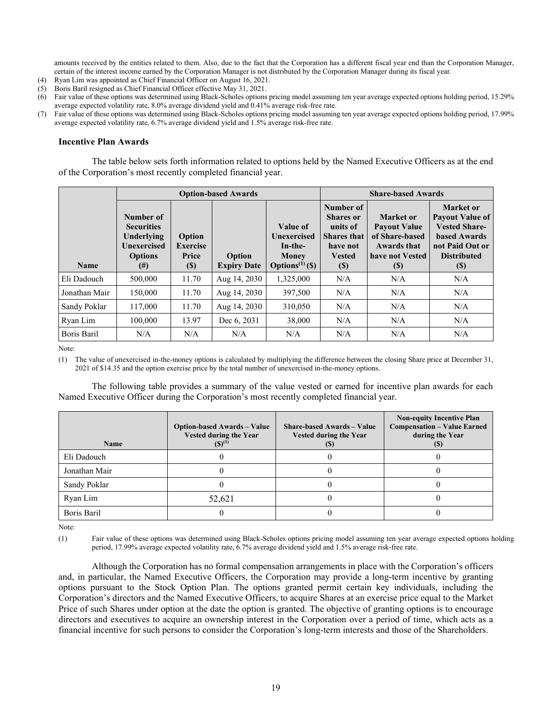amounts received by the entities related to them. Also, due to the fact that the Corporation has a different fiscal year end than the Corporation Manager, certain of the interest income earned by the Corporation Manager is not distributed by the Corporation Manager during its fiscal year.

- (4) Ryan Lim was appointed as Chief Financial Officer on August 16, 2021.
- (5) Boris Baril resigned as Chief Financial Officer effective May 31, 2021.
- (6) Fair value of these options was determined using Black-Scholes options pricing model assuming ten year average expected options holding period, 15.29% average expected volatility rate, 8.0% average dividend yield and 0.41% average risk-free rate.
- (7) Fair value of these options was determined using Black-Scholes options pricing model assuming ten year average expected options holding period, 17.99% average expected volatility rate, 6.7% average dividend yield and 1.5% average risk-free rate.

#### **Incentive Plan Awards**

The table below sets forth information related to options held by the Named Executive Officers as at the end of the Corporation's most recently completed financial year.

|               |                                                                                           |                                                  | <b>Option-based Awards</b>   | <b>Share-based Awards</b>                                                         |                                                                                                            |                                                                                                           |                                                                                                                             |
|---------------|-------------------------------------------------------------------------------------------|--------------------------------------------------|------------------------------|-----------------------------------------------------------------------------------|------------------------------------------------------------------------------------------------------------|-----------------------------------------------------------------------------------------------------------|-----------------------------------------------------------------------------------------------------------------------------|
| <b>Name</b>   | Number of<br><b>Securities</b><br>Underlying<br>Unexercised<br><b>Options</b><br>$^{(#)}$ | Option<br><b>Exercise</b><br>Price<br><b>(S)</b> | Option<br><b>Expiry Date</b> | Value of<br>Unexercised<br>In-the-<br><b>Money</b><br>Options <sup>(1)</sup> (\$) | Number of<br><b>Shares</b> or<br>units of<br><b>Shares that</b><br>have not<br><b>Vested</b><br><b>(S)</b> | <b>Market</b> or<br><b>Payout Value</b><br>of Share-based<br><b>Awards that</b><br>have not Vested<br>(S) | Market or<br><b>Payout Value of</b><br><b>Vested Share-</b><br>based Awards<br>not Paid Out or<br><b>Distributed</b><br>(S) |
| Eli Dadouch   | 500,000                                                                                   | 11.70                                            | Aug 14, 2030                 | 1,325,000                                                                         | N/A                                                                                                        | N/A                                                                                                       | N/A                                                                                                                         |
| Jonathan Mair | 150,000                                                                                   | 11.70                                            | Aug 14, 2030                 | 397,500                                                                           | N/A                                                                                                        | N/A                                                                                                       | N/A                                                                                                                         |
| Sandy Poklar  | 117,000                                                                                   | 11.70                                            | Aug 14, 2030                 | 310,050                                                                           | N/A                                                                                                        | N/A                                                                                                       | N/A                                                                                                                         |
| Ryan Lim      | 100,000                                                                                   | 13.97                                            | Dec 6, 2031                  | 38,000                                                                            | N/A                                                                                                        | N/A                                                                                                       | N/A                                                                                                                         |
| Boris Baril   | N/A                                                                                       | N/A                                              | N/A                          | N/A                                                                               | N/A                                                                                                        | N/A                                                                                                       | N/A                                                                                                                         |

Note:

(1) The value of unexercised in-the-money options is calculated by multiplying the difference between the closing Share price at December 31, 2021 of \$14.35 and the option exercise price by the total number of unexercised in-the-money options.

The following table provides a summary of the value vested or earned for incentive plan awards for each Named Executive Officer during the Corporation's most recently completed financial year.

| <b>Name</b>   | <b>Option-based Awards - Value</b><br>Vested during the Year<br>$(S)^{(1)}$ | <b>Share-based Awards – Value</b><br><b>Vested during the Year</b> | <b>Non-equity Incentive Plan</b><br><b>Compensation - Value Earned</b><br>during the Year |
|---------------|-----------------------------------------------------------------------------|--------------------------------------------------------------------|-------------------------------------------------------------------------------------------|
| Eli Dadouch   |                                                                             |                                                                    |                                                                                           |
| Jonathan Mair |                                                                             |                                                                    |                                                                                           |
| Sandy Poklar  |                                                                             |                                                                    |                                                                                           |
| Ryan Lim      | 52,621                                                                      |                                                                    |                                                                                           |
| Boris Baril   |                                                                             |                                                                    |                                                                                           |

Note:

(1) Fair value of these options was determined using Black-Scholes options pricing model assuming ten year average expected options holding period, 17.99% average expected volatility rate, 6.7% average dividend yield and 1.5% average risk-free rate.

Although the Corporation has no formal compensation arrangements in place with the Corporation's officers and, in particular, the Named Executive Officers, the Corporation may provide a long-term incentive by granting options pursuant to the Stock Option Plan. The options granted permit certain key individuals, including the Corporation's directors and the Named Executive Officers, to acquire Shares at an exercise price equal to the Market Price of such Shares under option at the date the option is granted. The objective of granting options is to encourage directors and executives to acquire an ownership interest in the Corporation over a period of time, which acts as a financial incentive for such persons to consider the Corporation's long-term interests and those of the Shareholders.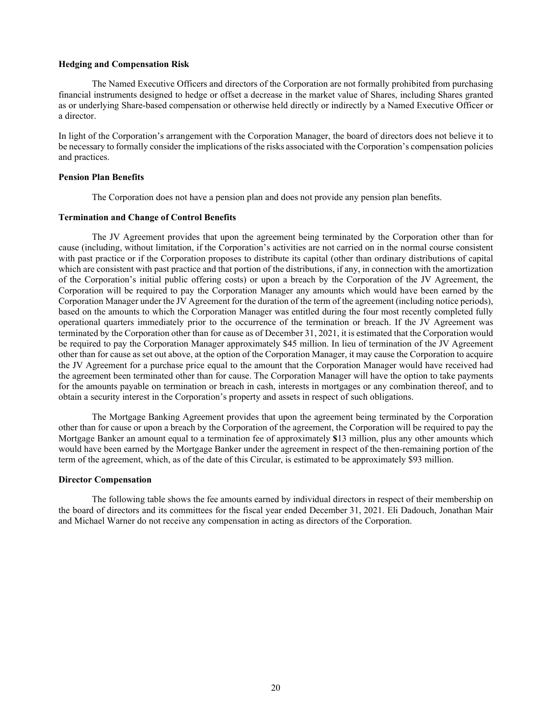#### **Hedging and Compensation Risk**

The Named Executive Officers and directors of the Corporation are not formally prohibited from purchasing financial instruments designed to hedge or offset a decrease in the market value of Shares, including Shares granted as or underlying Share-based compensation or otherwise held directly or indirectly by a Named Executive Officer or a director.

In light of the Corporation's arrangement with the Corporation Manager, the board of directors does not believe it to be necessary to formally consider the implications of the risks associated with the Corporation's compensation policies and practices.

# **Pension Plan Benefits**

The Corporation does not have a pension plan and does not provide any pension plan benefits.

#### **Termination and Change of Control Benefits**

The JV Agreement provides that upon the agreement being terminated by the Corporation other than for cause (including, without limitation, if the Corporation's activities are not carried on in the normal course consistent with past practice or if the Corporation proposes to distribute its capital (other than ordinary distributions of capital which are consistent with past practice and that portion of the distributions, if any, in connection with the amortization of the Corporation's initial public offering costs) or upon a breach by the Corporation of the JV Agreement, the Corporation will be required to pay the Corporation Manager any amounts which would have been earned by the Corporation Manager under the JV Agreement for the duration of the term of the agreement (including notice periods), based on the amounts to which the Corporation Manager was entitled during the four most recently completed fully operational quarters immediately prior to the occurrence of the termination or breach. If the JV Agreement was terminated by the Corporation other than for cause as of December 31, 2021, it is estimated that the Corporation would be required to pay the Corporation Manager approximately \$45 million. In lieu of termination of the JV Agreement other than for cause as set out above, at the option of the Corporation Manager, it may cause the Corporation to acquire the JV Agreement for a purchase price equal to the amount that the Corporation Manager would have received had the agreement been terminated other than for cause. The Corporation Manager will have the option to take payments for the amounts payable on termination or breach in cash, interests in mortgages or any combination thereof, and to obtain a security interest in the Corporation's property and assets in respect of such obligations.

The Mortgage Banking Agreement provides that upon the agreement being terminated by the Corporation other than for cause or upon a breach by the Corporation of the agreement, the Corporation will be required to pay the Mortgage Banker an amount equal to a termination fee of approximately **\$**13 million, plus any other amounts which would have been earned by the Mortgage Banker under the agreement in respect of the then-remaining portion of the term of the agreement, which, as of the date of this Circular, is estimated to be approximately \$93 million.

#### **Director Compensation**

The following table shows the fee amounts earned by individual directors in respect of their membership on the board of directors and its committees for the fiscal year ended December 31, 2021. Eli Dadouch, Jonathan Mair and Michael Warner do not receive any compensation in acting as directors of the Corporation.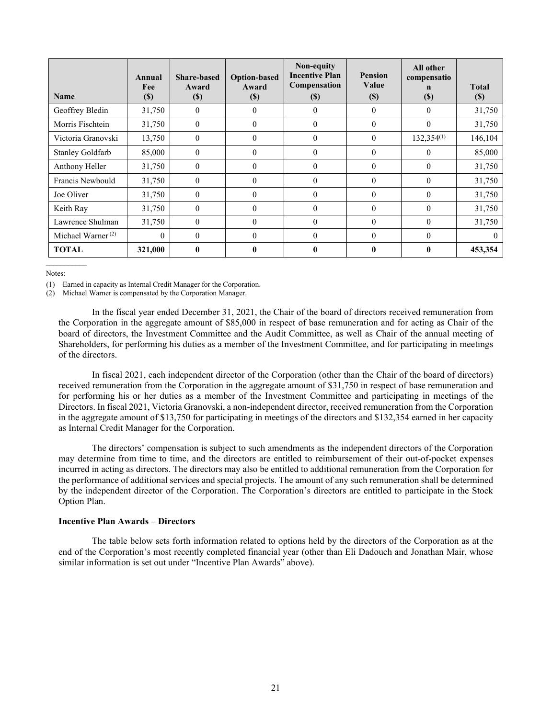| <b>Name</b>             | Annual<br>Fee<br>$\left( \mathbb{S}\right)$ | <b>Share-based</b><br>Award<br>$(\$)$ | <b>Option-based</b><br>Award<br>$(\$)$ | Non-equity<br><b>Incentive Plan</b><br>Compensation<br>$\left( \mathbb{S}\right)$ | <b>Pension</b><br>Value<br>$\left( \mathbb{S}\right)$ | All other<br>compensatio<br>n<br>$(\$)$ | <b>Total</b><br><b>(S)</b> |
|-------------------------|---------------------------------------------|---------------------------------------|----------------------------------------|-----------------------------------------------------------------------------------|-------------------------------------------------------|-----------------------------------------|----------------------------|
| Geoffrey Bledin         | 31,750                                      | $\overline{0}$                        | $\overline{0}$                         | 0                                                                                 | $\mathbf{0}$                                          | $\theta$                                | 31,750                     |
| Morris Fischtein        | 31,750                                      | $\overline{0}$                        | $\overline{0}$                         | $\mathbf{0}$                                                                      | $\theta$                                              | $\theta$                                | 31,750                     |
| Victoria Granovski      | 13,750                                      | $\theta$                              | $\theta$                               | $\theta$                                                                          | $\theta$                                              | $132,354^{(1)}$                         | 146,104                    |
| <b>Stanley Goldfarb</b> | 85,000                                      | $\theta$                              | $\Omega$                               | $\theta$                                                                          | $\theta$                                              | $\Omega$                                | 85,000                     |
| Anthony Heller          | 31,750                                      | $\overline{0}$                        | $\theta$                               | $\theta$                                                                          | $\theta$                                              | $\theta$                                | 31,750                     |
| Francis Newbould        | 31,750                                      | $\overline{0}$                        | $\Omega$                               | $\theta$                                                                          | $\theta$                                              | $\theta$                                | 31,750                     |
| Joe Oliver              | 31,750                                      | $\theta$                              | $\Omega$                               | $\theta$                                                                          | $\theta$                                              | $\theta$                                | 31,750                     |
| Keith Ray               | 31,750                                      | $\overline{0}$                        | $\overline{0}$                         | $\theta$                                                                          | $\theta$                                              | $\theta$                                | 31,750                     |
| Lawrence Shulman        | 31,750                                      | $\theta$                              | $\theta$                               | $\theta$                                                                          | $\theta$                                              | $\theta$                                | 31,750                     |
| Michael Warner $(2)$    | $\theta$                                    | $\theta$                              | $\Omega$                               | $\theta$                                                                          | $\theta$                                              | $\theta$                                | $\Omega$                   |
| <b>TOTAL</b>            | 321,000                                     | $\mathbf{0}$                          | 0                                      | 0                                                                                 | 0                                                     | $\mathbf{0}$                            | 453,354                    |

Notes:

 $\mathcal{L}$  and  $\mathcal{L}$ 

(1) Earned in capacity as Internal Credit Manager for the Corporation.

(2) Michael Warner is compensated by the Corporation Manager.

In the fiscal year ended December 31, 2021, the Chair of the board of directors received remuneration from the Corporation in the aggregate amount of \$85,000 in respect of base remuneration and for acting as Chair of the board of directors, the Investment Committee and the Audit Committee, as well as Chair of the annual meeting of Shareholders, for performing his duties as a member of the Investment Committee, and for participating in meetings of the directors.

In fiscal 2021, each independent director of the Corporation (other than the Chair of the board of directors) received remuneration from the Corporation in the aggregate amount of \$31,750 in respect of base remuneration and for performing his or her duties as a member of the Investment Committee and participating in meetings of the Directors. In fiscal 2021, Victoria Granovski, a non-independent director, received remuneration from the Corporation in the aggregate amount of \$13,750 for participating in meetings of the directors and \$132,354 earned in her capacity as Internal Credit Manager for the Corporation.

The directors' compensation is subject to such amendments as the independent directors of the Corporation may determine from time to time, and the directors are entitled to reimbursement of their out-of-pocket expenses incurred in acting as directors. The directors may also be entitled to additional remuneration from the Corporation for the performance of additional services and special projects. The amount of any such remuneration shall be determined by the independent director of the Corporation. The Corporation's directors are entitled to participate in the Stock Option Plan.

#### **Incentive Plan Awards – Directors**

The table below sets forth information related to options held by the directors of the Corporation as at the end of the Corporation's most recently completed financial year (other than Eli Dadouch and Jonathan Mair, whose similar information is set out under "Incentive Plan Awards" above).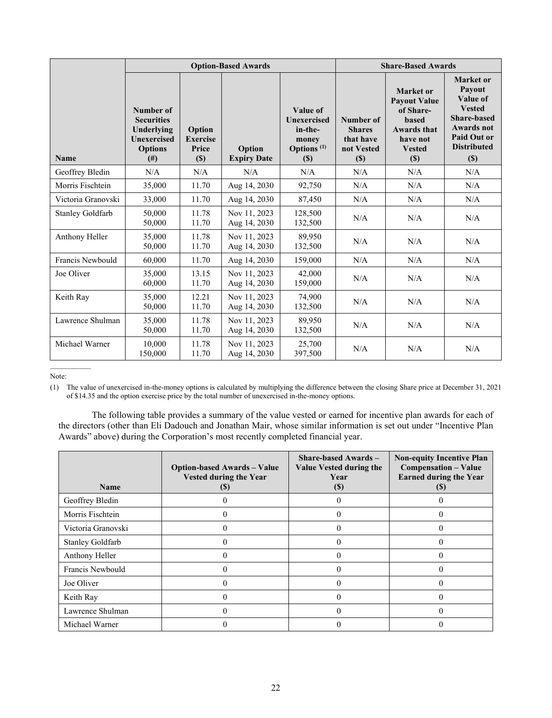|                         |                                                                                                           |                                           | <b>Option-Based Awards</b>   | <b>Share-Based Awards</b>                                           |                                                              |                                                                                                                            |                                                                                                                                            |
|-------------------------|-----------------------------------------------------------------------------------------------------------|-------------------------------------------|------------------------------|---------------------------------------------------------------------|--------------------------------------------------------------|----------------------------------------------------------------------------------------------------------------------------|--------------------------------------------------------------------------------------------------------------------------------------------|
| <b>Name</b>             | Number of<br><b>Securities</b><br>Underlying<br><b>Unexercised</b><br><b>Options</b><br>(# <sup>2</sup> ) | Option<br><b>Exercise</b><br>Price<br>(S) | Option<br><b>Expiry Date</b> | Value of<br>Unexercised<br>in-the-<br>money<br>Options $(1)$<br>(S) | Number of<br><b>Shares</b><br>that have<br>not Vested<br>(S) | Market or<br><b>Payout Value</b><br>of Share-<br><b>based</b><br><b>Awards that</b><br>have not<br><b>Vested</b><br>$(\$)$ | <b>Market</b> or<br>Payout<br>Value of<br><b>Vested</b><br><b>Share-based</b><br>Awards not<br>Paid Out or<br><b>Distributed</b><br>$(\$)$ |
| Geoffrey Bledin         | N/A                                                                                                       | N/A                                       | N/A                          | N/A                                                                 | N/A                                                          | N/A                                                                                                                        | N/A                                                                                                                                        |
| Morris Fischtein        | 35,000                                                                                                    | 11.70                                     | Aug 14, 2030                 | 92,750                                                              | N/A                                                          | N/A                                                                                                                        | N/A                                                                                                                                        |
| Victoria Granovski      | 33,000                                                                                                    | 11.70                                     | Aug 14, 2030                 | 87,450                                                              | N/A                                                          | N/A                                                                                                                        | N/A                                                                                                                                        |
| <b>Stanley Goldfarb</b> | 50,000<br>50,000                                                                                          | 11.78<br>11.70                            | Nov 11, 2023<br>Aug 14, 2030 | 128,500<br>132,500                                                  | N/A                                                          | N/A                                                                                                                        | N/A                                                                                                                                        |
| Anthony Heller          | 35,000<br>50,000                                                                                          | 11.78<br>11.70                            | Nov 11, 2023<br>Aug 14, 2030 | 89.950<br>132,500                                                   | N/A                                                          | N/A                                                                                                                        | N/A                                                                                                                                        |
| Francis Newbould        | 60,000                                                                                                    | 11.70                                     | Aug 14, 2030                 | 159,000                                                             | N/A                                                          | N/A                                                                                                                        | N/A                                                                                                                                        |
| Joe Oliver              | 35,000<br>60,000                                                                                          | 13.15<br>11.70                            | Nov 11, 2023<br>Aug 14, 2030 | 42,000<br>159,000                                                   | N/A                                                          | N/A                                                                                                                        | N/A                                                                                                                                        |
| Keith Ray               | 35,000<br>50,000                                                                                          | 12.21<br>11.70                            | Nov 11, 2023<br>Aug 14, 2030 | 74.900<br>132,500                                                   | N/A                                                          | N/A                                                                                                                        | N/A                                                                                                                                        |
| Lawrence Shulman        | 35,000<br>50,000                                                                                          | 11.78<br>11.70                            | Nov 11, 2023<br>Aug 14, 2030 | 89.950<br>132,500                                                   | N/A                                                          | N/A                                                                                                                        | N/A                                                                                                                                        |
| Michael Warner          | 10,000<br>150,000                                                                                         | 11.78<br>11.70                            | Nov 11, 2023<br>Aug 14, 2030 | 25,700<br>397,500                                                   | N/A                                                          | N/A                                                                                                                        | N/A                                                                                                                                        |
|                         |                                                                                                           |                                           |                              |                                                                     |                                                              |                                                                                                                            |                                                                                                                                            |

Note:

(1) The value of unexercised in-the-money options is calculated by multiplying the difference between the closing Share price at December 31, 2021 of \$14.35 and the option exercise price by the total number of unexercised in-the-money options.

The following table provides a summary of the value vested or earned for incentive plan awards for each of the directors (other than Eli Dadouch and Jonathan Mair, whose similar information is set out under "Incentive Plan Awards" above) during the Corporation's most recently completed financial year.

| <b>Name</b>             | <b>Option-based Awards – Value</b><br><b>Vested during the Year</b><br>$\mathfrak{g}$ | <b>Share-based Awards –</b><br>Value Vested during the<br>Year<br><b>(\$)</b> | <b>Non-equity Incentive Plan</b><br>Compensation – Value<br><b>Earned during the Year</b><br>ID. |
|-------------------------|---------------------------------------------------------------------------------------|-------------------------------------------------------------------------------|--------------------------------------------------------------------------------------------------|
| Geoffrey Bledin         |                                                                                       |                                                                               |                                                                                                  |
| Morris Fischtein        |                                                                                       |                                                                               |                                                                                                  |
| Victoria Granovski      |                                                                                       | 0                                                                             |                                                                                                  |
| <b>Stanley Goldfarb</b> |                                                                                       | 0                                                                             |                                                                                                  |
| Anthony Heller          |                                                                                       |                                                                               |                                                                                                  |
| Francis Newbould        |                                                                                       |                                                                               |                                                                                                  |
| Joe Oliver              |                                                                                       |                                                                               |                                                                                                  |
| Keith Ray               |                                                                                       |                                                                               |                                                                                                  |
| Lawrence Shulman        |                                                                                       |                                                                               |                                                                                                  |
| Michael Warner          |                                                                                       |                                                                               |                                                                                                  |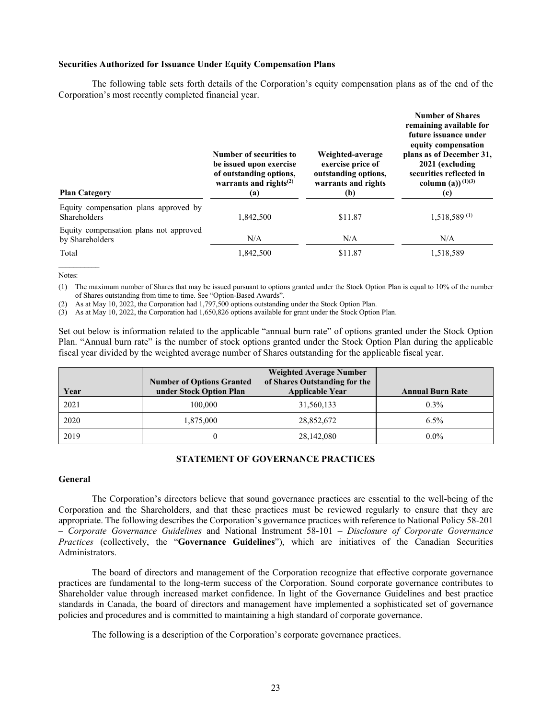#### **Securities Authorized for Issuance Under Equity Compensation Plans**

The following table sets forth details of the Corporation's equity compensation plans as of the end of the Corporation's most recently completed financial year.

| <b>Plan Category</b>                                      | Number of securities to<br>be issued upon exercise<br>of outstanding options,<br>warrants and rights $^{(2)}$<br>(a) | Weighted-average<br>exercise price of<br>outstanding options,<br>warrants and rights<br>(b) | <b>Number of Shares</b><br>remaining available for<br>future issuance under<br>equity compensation<br>plans as of December 31,<br>2021 (excluding<br>securities reflected in<br>column (a)) <sup>(1)(3)</sup><br>(c) |
|-----------------------------------------------------------|----------------------------------------------------------------------------------------------------------------------|---------------------------------------------------------------------------------------------|----------------------------------------------------------------------------------------------------------------------------------------------------------------------------------------------------------------------|
| Equity compensation plans approved by<br>Shareholders     | 1.842.500                                                                                                            | \$11.87                                                                                     | $1,518,589$ <sup>(1)</sup>                                                                                                                                                                                           |
| Equity compensation plans not approved<br>by Shareholders | N/A                                                                                                                  | N/A                                                                                         | N/A                                                                                                                                                                                                                  |
| Total                                                     | 1,842,500                                                                                                            | \$11.87                                                                                     | 1,518,589                                                                                                                                                                                                            |

Notes:

 $\mathcal{L}$  . The set of the set of the set of the set of the set of the set of the set of the set of the set of the set of the set of the set of the set of the set of the set of the set of the set of the set of the set of t

(1) The maximum number of Shares that may be issued pursuant to options granted under the Stock Option Plan is equal to 10% of the number of Shares outstanding from time to time. See "Option-Based Awards".

(2) As at May 10, 2022, the Corporation had 1,797,500 options outstanding under the Stock Option Plan.

(3) As at May 10, 2022, the Corporation had 1,650,826 options available for grant under the Stock Option Plan.

Set out below is information related to the applicable "annual burn rate" of options granted under the Stock Option Plan. "Annual burn rate" is the number of stock options granted under the Stock Option Plan during the applicable fiscal year divided by the weighted average number of Shares outstanding for the applicable fiscal year.

| Year | <b>Number of Options Granted</b><br>under Stock Option Plan | <b>Weighted Average Number</b><br>of Shares Outstanding for the<br><b>Applicable Year</b> | <b>Annual Burn Rate</b> |
|------|-------------------------------------------------------------|-------------------------------------------------------------------------------------------|-------------------------|
| 2021 | 100,000                                                     | 31,560,133                                                                                | $0.3\%$                 |
| 2020 | 1,875,000                                                   | 28,852,672                                                                                | $6.5\%$                 |
| 2019 |                                                             | 28,142,080                                                                                | $0.0\%$                 |

# **STATEMENT OF GOVERNANCE PRACTICES**

# **General**

The Corporation's directors believe that sound governance practices are essential to the well-being of the Corporation and the Shareholders, and that these practices must be reviewed regularly to ensure that they are appropriate. The following describes the Corporation's governance practices with reference to National Policy 58-201 – *Corporate Governance Guidelines* and National Instrument 58-101 – *Disclosure of Corporate Governance Practices* (collectively, the "**Governance Guidelines**"), which are initiatives of the Canadian Securities Administrators.

The board of directors and management of the Corporation recognize that effective corporate governance practices are fundamental to the long-term success of the Corporation. Sound corporate governance contributes to Shareholder value through increased market confidence. In light of the Governance Guidelines and best practice standards in Canada, the board of directors and management have implemented a sophisticated set of governance policies and procedures and is committed to maintaining a high standard of corporate governance.

The following is a description of the Corporation's corporate governance practices.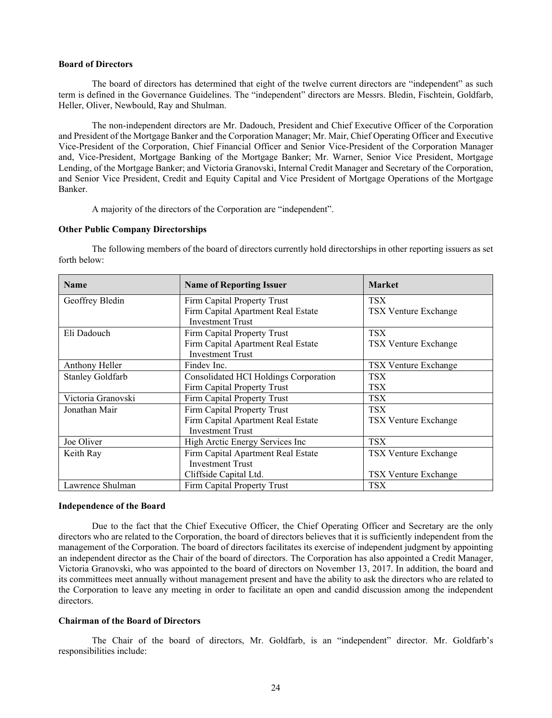#### **Board of Directors**

The board of directors has determined that eight of the twelve current directors are "independent" as such term is defined in the Governance Guidelines. The "independent" directors are Messrs. Bledin, Fischtein, Goldfarb, Heller, Oliver, Newbould, Ray and Shulman.

The non-independent directors are Mr. Dadouch, President and Chief Executive Officer of the Corporation and President of the Mortgage Banker and the Corporation Manager; Mr. Mair, Chief Operating Officer and Executive Vice-President of the Corporation, Chief Financial Officer and Senior Vice-President of the Corporation Manager and, Vice-President, Mortgage Banking of the Mortgage Banker; Mr. Warner, Senior Vice President, Mortgage Lending, of the Mortgage Banker; and Victoria Granovski, Internal Credit Manager and Secretary of the Corporation, and Senior Vice President, Credit and Equity Capital and Vice President of Mortgage Operations of the Mortgage Banker.

A majority of the directors of the Corporation are "independent".

#### **Other Public Company Directorships**

The following members of the board of directors currently hold directorships in other reporting issuers as set forth below:

| <b>Name</b>             | <b>Name of Reporting Issuer</b>       | <b>Market</b>               |
|-------------------------|---------------------------------------|-----------------------------|
| Geoffrey Bledin         | Firm Capital Property Trust           | <b>TSX</b>                  |
|                         | Firm Capital Apartment Real Estate    | <b>TSX Venture Exchange</b> |
|                         | <b>Investment Trust</b>               |                             |
| Eli Dadouch             | Firm Capital Property Trust           | <b>TSX</b>                  |
|                         | Firm Capital Apartment Real Estate    | TSX Venture Exchange        |
|                         | <b>Investment Trust</b>               |                             |
| Anthony Heller          | Findey Inc.                           | TSX Venture Exchange        |
| <b>Stanley Goldfarb</b> | Consolidated HCI Holdings Corporation | <b>TSX</b>                  |
|                         | Firm Capital Property Trust           | <b>TSX</b>                  |
| Victoria Granovski      | Firm Capital Property Trust           | <b>TSX</b>                  |
| Jonathan Mair           | Firm Capital Property Trust           | <b>TSX</b>                  |
|                         | Firm Capital Apartment Real Estate    | <b>TSX Venture Exchange</b> |
|                         | <b>Investment Trust</b>               |                             |
| Joe Oliver              | High Arctic Energy Services Inc       | <b>TSX</b>                  |
| Keith Ray               | Firm Capital Apartment Real Estate    | TSX Venture Exchange        |
|                         | <b>Investment Trust</b>               |                             |
|                         | Cliffside Capital Ltd.                | TSX Venture Exchange        |
| Lawrence Shulman        | Firm Capital Property Trust           | <b>TSX</b>                  |

#### **Independence of the Board**

Due to the fact that the Chief Executive Officer, the Chief Operating Officer and Secretary are the only directors who are related to the Corporation, the board of directors believes that it is sufficiently independent from the management of the Corporation. The board of directors facilitates its exercise of independent judgment by appointing an independent director as the Chair of the board of directors. The Corporation has also appointed a Credit Manager, Victoria Granovski, who was appointed to the board of directors on November 13, 2017. In addition, the board and its committees meet annually without management present and have the ability to ask the directors who are related to the Corporation to leave any meeting in order to facilitate an open and candid discussion among the independent directors.

# **Chairman of the Board of Directors**

The Chair of the board of directors, Mr. Goldfarb, is an "independent" director. Mr. Goldfarb's responsibilities include: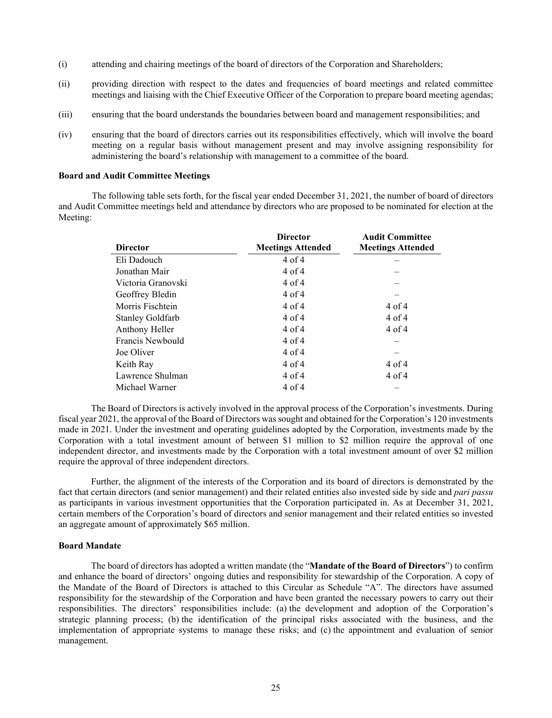- (i) attending and chairing meetings of the board of directors of the Corporation and Shareholders;
- (ii) providing direction with respect to the dates and frequencies of board meetings and related committee meetings and liaising with the Chief Executive Officer of the Corporation to prepare board meeting agendas;
- (iii) ensuring that the board understands the boundaries between board and management responsibilities; and
- (iv) ensuring that the board of directors carries out its responsibilities effectively, which will involve the board meeting on a regular basis without management present and may involve assigning responsibility for administering the board's relationship with management to a committee of the board.

#### **Board and Audit Committee Meetings**

The following table sets forth, for the fiscal year ended December 31, 2021, the number of board of directors and Audit Committee meetings held and attendance by directors who are proposed to be nominated for election at the Meeting:

| <b>Director</b>         | <b>Director</b><br><b>Meetings Attended</b> | <b>Audit Committee</b><br><b>Meetings Attended</b> |
|-------------------------|---------------------------------------------|----------------------------------------------------|
| Eli Dadouch             | $4$ of $4$                                  |                                                    |
| Jonathan Mair           | $4$ of $4$                                  |                                                    |
| Victoria Granovski      | $4$ of $4$                                  |                                                    |
| Geoffrey Bledin         | $4$ of $4$                                  |                                                    |
| Morris Fischtein        | $4$ of $4$                                  | $4$ of $4$                                         |
| <b>Stanley Goldfarb</b> | $4$ of $4$                                  | $4$ of $4$                                         |
| Anthony Heller          | $4$ of $4$                                  | $4$ of $4$                                         |
| Francis Newbould        | $4$ of $4$                                  |                                                    |
| Joe Oliver              | $4$ of $4$                                  |                                                    |
| Keith Ray               | $4$ of $4$                                  | $4$ of $4$                                         |
| Lawrence Shulman        | $4$ of $4$                                  | $4$ of $4$                                         |
| Michael Warner          | $4$ of $4$                                  |                                                    |

The Board of Directors is actively involved in the approval process of the Corporation's investments. During fiscal year 2021, the approval of the Board of Directors was sought and obtained for the Corporation's 120 investments made in 2021. Under the investment and operating guidelines adopted by the Corporation, investments made by the Corporation with a total investment amount of between \$1 million to \$2 million require the approval of one independent director, and investments made by the Corporation with a total investment amount of over \$2 million require the approval of three independent directors.

Further, the alignment of the interests of the Corporation and its board of directors is demonstrated by the fact that certain directors (and senior management) and their related entities also invested side by side and *pari passu* as participants in various investment opportunities that the Corporation participated in. As at December 31, 2021, certain members of the Corporation's board of directors and senior management and their related entities so invested an aggregate amount of approximately \$65 million.

#### **Board Mandate**

The board of directors has adopted a written mandate (the "**Mandate of the Board of Directors**") to confirm and enhance the board of directors' ongoing duties and responsibility for stewardship of the Corporation. A copy of the Mandate of the Board of Directors is attached to this Circular as Schedule "A". The directors have assumed responsibility for the stewardship of the Corporation and have been granted the necessary powers to carry out their responsibilities. The directors' responsibilities include: (a) the development and adoption of the Corporation's strategic planning process; (b) the identification of the principal risks associated with the business, and the implementation of appropriate systems to manage these risks; and (c) the appointment and evaluation of senior management.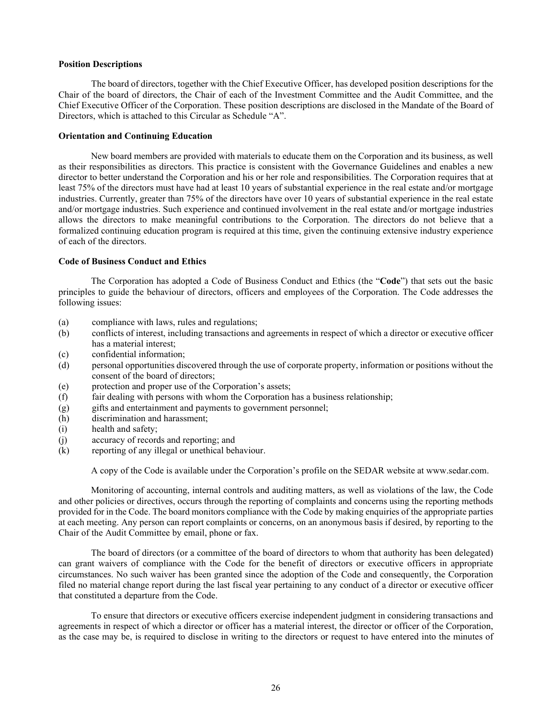#### **Position Descriptions**

The board of directors, together with the Chief Executive Officer, has developed position descriptions for the Chair of the board of directors, the Chair of each of the Investment Committee and the Audit Committee, and the Chief Executive Officer of the Corporation. These position descriptions are disclosed in the Mandate of the Board of Directors, which is attached to this Circular as Schedule "A".

#### **Orientation and Continuing Education**

New board members are provided with materials to educate them on the Corporation and its business, as well as their responsibilities as directors. This practice is consistent with the Governance Guidelines and enables a new director to better understand the Corporation and his or her role and responsibilities. The Corporation requires that at least 75% of the directors must have had at least 10 years of substantial experience in the real estate and/or mortgage industries. Currently, greater than 75% of the directors have over 10 years of substantial experience in the real estate and/or mortgage industries. Such experience and continued involvement in the real estate and/or mortgage industries allows the directors to make meaningful contributions to the Corporation. The directors do not believe that a formalized continuing education program is required at this time, given the continuing extensive industry experience of each of the directors.

#### **Code of Business Conduct and Ethics**

The Corporation has adopted a Code of Business Conduct and Ethics (the "**Code**") that sets out the basic principles to guide the behaviour of directors, officers and employees of the Corporation. The Code addresses the following issues:

- (a) compliance with laws, rules and regulations;
- (b) conflicts of interest, including transactions and agreements in respect of which a director or executive officer has a material interest:
- (c) confidential information;
- (d) personal opportunities discovered through the use of corporate property, information or positions without the consent of the board of directors;
- (e) protection and proper use of the Corporation's assets;
- (f) fair dealing with persons with whom the Corporation has a business relationship;
- (g) gifts and entertainment and payments to government personnel;
- (h) discrimination and harassment;
- (i) health and safety;
- (j) accuracy of records and reporting; and
- (k) reporting of any illegal or unethical behaviour.

A copy of the Code is available under the Corporation's profile on the SEDAR website at www.sedar.com.

Monitoring of accounting, internal controls and auditing matters, as well as violations of the law, the Code and other policies or directives, occurs through the reporting of complaints and concerns using the reporting methods provided for in the Code. The board monitors compliance with the Code by making enquiries of the appropriate parties at each meeting. Any person can report complaints or concerns, on an anonymous basis if desired, by reporting to the Chair of the Audit Committee by email, phone or fax.

The board of directors (or a committee of the board of directors to whom that authority has been delegated) can grant waivers of compliance with the Code for the benefit of directors or executive officers in appropriate circumstances. No such waiver has been granted since the adoption of the Code and consequently, the Corporation filed no material change report during the last fiscal year pertaining to any conduct of a director or executive officer that constituted a departure from the Code.

To ensure that directors or executive officers exercise independent judgment in considering transactions and agreements in respect of which a director or officer has a material interest, the director or officer of the Corporation, as the case may be, is required to disclose in writing to the directors or request to have entered into the minutes of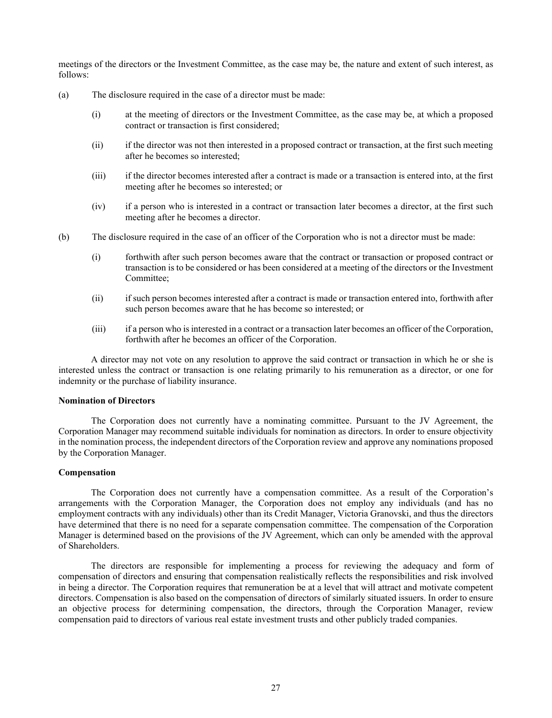meetings of the directors or the Investment Committee, as the case may be, the nature and extent of such interest, as follows:

- (a) The disclosure required in the case of a director must be made:
	- (i) at the meeting of directors or the Investment Committee, as the case may be, at which a proposed contract or transaction is first considered;
	- (ii) if the director was not then interested in a proposed contract or transaction, at the first such meeting after he becomes so interested;
	- (iii) if the director becomes interested after a contract is made or a transaction is entered into, at the first meeting after he becomes so interested; or
	- (iv) if a person who is interested in a contract or transaction later becomes a director, at the first such meeting after he becomes a director.
- (b) The disclosure required in the case of an officer of the Corporation who is not a director must be made:
	- (i) forthwith after such person becomes aware that the contract or transaction or proposed contract or transaction is to be considered or has been considered at a meeting of the directors or the Investment Committee;
	- (ii) if such person becomes interested after a contract is made or transaction entered into, forthwith after such person becomes aware that he has become so interested; or
	- (iii) if a person who is interested in a contract or a transaction later becomes an officer of the Corporation, forthwith after he becomes an officer of the Corporation.

A director may not vote on any resolution to approve the said contract or transaction in which he or she is interested unless the contract or transaction is one relating primarily to his remuneration as a director, or one for indemnity or the purchase of liability insurance.

#### **Nomination of Directors**

The Corporation does not currently have a nominating committee. Pursuant to the JV Agreement, the Corporation Manager may recommend suitable individuals for nomination as directors. In order to ensure objectivity in the nomination process, the independent directors of the Corporation review and approve any nominations proposed by the Corporation Manager.

#### **Compensation**

The Corporation does not currently have a compensation committee. As a result of the Corporation's arrangements with the Corporation Manager, the Corporation does not employ any individuals (and has no employment contracts with any individuals) other than its Credit Manager, Victoria Granovski, and thus the directors have determined that there is no need for a separate compensation committee. The compensation of the Corporation Manager is determined based on the provisions of the JV Agreement, which can only be amended with the approval of Shareholders.

The directors are responsible for implementing a process for reviewing the adequacy and form of compensation of directors and ensuring that compensation realistically reflects the responsibilities and risk involved in being a director. The Corporation requires that remuneration be at a level that will attract and motivate competent directors. Compensation is also based on the compensation of directors of similarly situated issuers. In order to ensure an objective process for determining compensation, the directors, through the Corporation Manager, review compensation paid to directors of various real estate investment trusts and other publicly traded companies.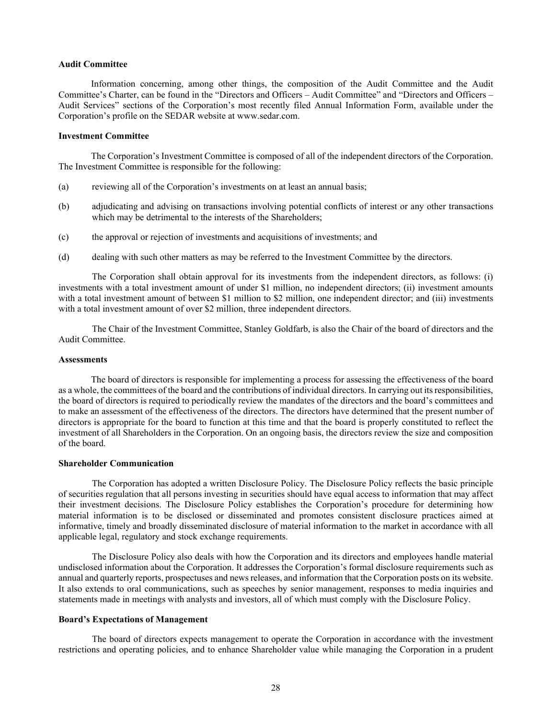#### **Audit Committee**

Information concerning, among other things, the composition of the Audit Committee and the Audit Committee's Charter, can be found in the "Directors and Officers – Audit Committee" and "Directors and Officers – Audit Services" sections of the Corporation's most recently filed Annual Information Form, available under the Corporation's profile on the SEDAR website at www.sedar.com.

#### **Investment Committee**

The Corporation's Investment Committee is composed of all of the independent directors of the Corporation. The Investment Committee is responsible for the following:

- (a) reviewing all of the Corporation's investments on at least an annual basis;
- (b) adjudicating and advising on transactions involving potential conflicts of interest or any other transactions which may be detrimental to the interests of the Shareholders;
- (c) the approval or rejection of investments and acquisitions of investments; and
- (d) dealing with such other matters as may be referred to the Investment Committee by the directors.

The Corporation shall obtain approval for its investments from the independent directors, as follows: (i) investments with a total investment amount of under \$1 million, no independent directors; (ii) investment amounts with a total investment amount of between \$1 million to \$2 million, one independent director; and (iii) investments with a total investment amount of over \$2 million, three independent directors.

The Chair of the Investment Committee, Stanley Goldfarb, is also the Chair of the board of directors and the Audit Committee.

# **Assessments**

The board of directors is responsible for implementing a process for assessing the effectiveness of the board as a whole, the committees of the board and the contributions of individual directors. In carrying out its responsibilities, the board of directors is required to periodically review the mandates of the directors and the board's committees and to make an assessment of the effectiveness of the directors. The directors have determined that the present number of directors is appropriate for the board to function at this time and that the board is properly constituted to reflect the investment of all Shareholders in the Corporation. On an ongoing basis, the directors review the size and composition of the board.

#### **Shareholder Communication**

The Corporation has adopted a written Disclosure Policy. The Disclosure Policy reflects the basic principle of securities regulation that all persons investing in securities should have equal access to information that may affect their investment decisions. The Disclosure Policy establishes the Corporation's procedure for determining how material information is to be disclosed or disseminated and promotes consistent disclosure practices aimed at informative, timely and broadly disseminated disclosure of material information to the market in accordance with all applicable legal, regulatory and stock exchange requirements.

The Disclosure Policy also deals with how the Corporation and its directors and employees handle material undisclosed information about the Corporation. It addresses the Corporation's formal disclosure requirements such as annual and quarterly reports, prospectuses and news releases, and information that the Corporation posts on its website. It also extends to oral communications, such as speeches by senior management, responses to media inquiries and statements made in meetings with analysts and investors, all of which must comply with the Disclosure Policy.

#### **Board's Expectations of Management**

The board of directors expects management to operate the Corporation in accordance with the investment restrictions and operating policies, and to enhance Shareholder value while managing the Corporation in a prudent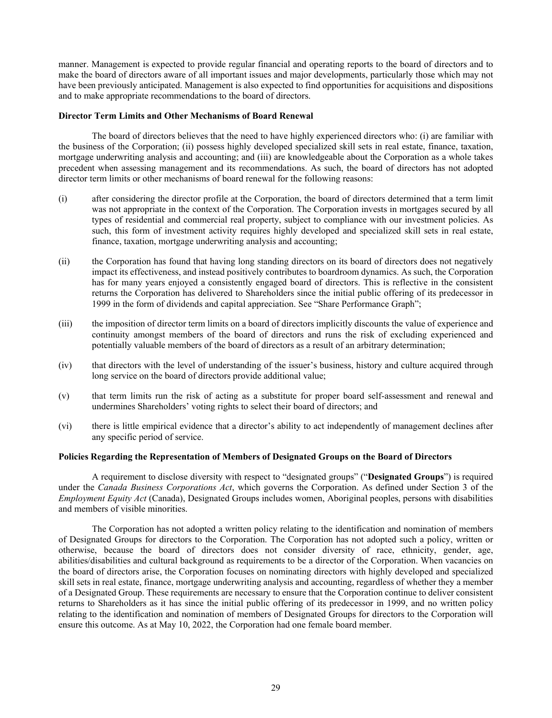manner. Management is expected to provide regular financial and operating reports to the board of directors and to make the board of directors aware of all important issues and major developments, particularly those which may not have been previously anticipated. Management is also expected to find opportunities for acquisitions and dispositions and to make appropriate recommendations to the board of directors.

#### **Director Term Limits and Other Mechanisms of Board Renewal**

The board of directors believes that the need to have highly experienced directors who: (i) are familiar with the business of the Corporation; (ii) possess highly developed specialized skill sets in real estate, finance, taxation, mortgage underwriting analysis and accounting; and (iii) are knowledgeable about the Corporation as a whole takes precedent when assessing management and its recommendations. As such, the board of directors has not adopted director term limits or other mechanisms of board renewal for the following reasons:

- (i) after considering the director profile at the Corporation, the board of directors determined that a term limit was not appropriate in the context of the Corporation. The Corporation invests in mortgages secured by all types of residential and commercial real property, subject to compliance with our investment policies. As such, this form of investment activity requires highly developed and specialized skill sets in real estate, finance, taxation, mortgage underwriting analysis and accounting;
- (ii) the Corporation has found that having long standing directors on its board of directors does not negatively impact its effectiveness, and instead positively contributes to boardroom dynamics. As such, the Corporation has for many years enjoyed a consistently engaged board of directors. This is reflective in the consistent returns the Corporation has delivered to Shareholders since the initial public offering of its predecessor in 1999 in the form of dividends and capital appreciation. See "Share Performance Graph";
- (iii) the imposition of director term limits on a board of directors implicitly discounts the value of experience and continuity amongst members of the board of directors and runs the risk of excluding experienced and potentially valuable members of the board of directors as a result of an arbitrary determination;
- (iv) that directors with the level of understanding of the issuer's business, history and culture acquired through long service on the board of directors provide additional value;
- (v) that term limits run the risk of acting as a substitute for proper board self-assessment and renewal and undermines Shareholders' voting rights to select their board of directors; and
- (vi) there is little empirical evidence that a director's ability to act independently of management declines after any specific period of service.

# **Policies Regarding the Representation of Members of Designated Groups on the Board of Directors**

A requirement to disclose diversity with respect to "designated groups" ("**Designated Groups**") is required under the *Canada Business Corporations Act*, which governs the Corporation. As defined under Section 3 of the *Employment Equity Act* (Canada), Designated Groups includes women, Aboriginal peoples, persons with disabilities and members of visible minorities.

The Corporation has not adopted a written policy relating to the identification and nomination of members of Designated Groups for directors to the Corporation. The Corporation has not adopted such a policy, written or otherwise, because the board of directors does not consider diversity of race, ethnicity, gender, age, abilities/disabilities and cultural background as requirements to be a director of the Corporation. When vacancies on the board of directors arise, the Corporation focuses on nominating directors with highly developed and specialized skill sets in real estate, finance, mortgage underwriting analysis and accounting, regardless of whether they a member of a Designated Group. These requirements are necessary to ensure that the Corporation continue to deliver consistent returns to Shareholders as it has since the initial public offering of its predecessor in 1999, and no written policy relating to the identification and nomination of members of Designated Groups for directors to the Corporation will ensure this outcome. As at May 10, 2022, the Corporation had one female board member.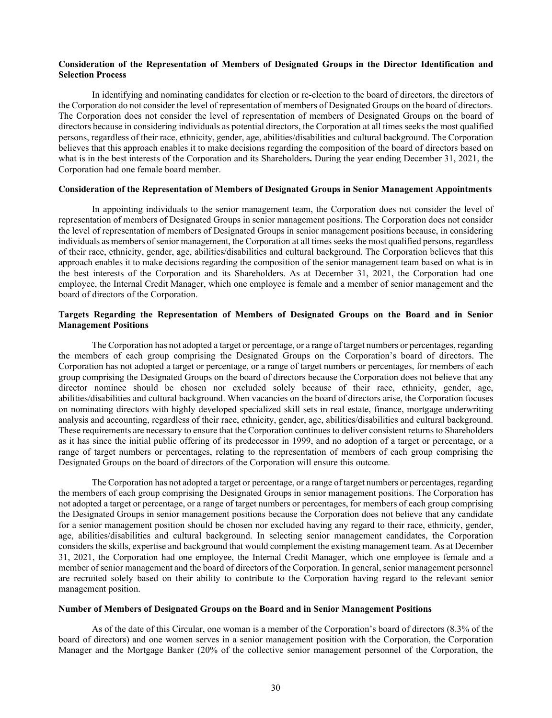# **Consideration of the Representation of Members of Designated Groups in the Director Identification and Selection Process**

In identifying and nominating candidates for election or re-election to the board of directors, the directors of the Corporation do not consider the level of representation of members of Designated Groups on the board of directors. The Corporation does not consider the level of representation of members of Designated Groups on the board of directors because in considering individuals as potential directors, the Corporation at all times seeks the most qualified persons, regardless of their race, ethnicity, gender, age, abilities/disabilities and cultural background. The Corporation believes that this approach enables it to make decisions regarding the composition of the board of directors based on what is in the best interests of the Corporation and its Shareholders**.** During the year ending December 31, 2021, the Corporation had one female board member.

#### **Consideration of the Representation of Members of Designated Groups in Senior Management Appointments**

In appointing individuals to the senior management team, the Corporation does not consider the level of representation of members of Designated Groups in senior management positions. The Corporation does not consider the level of representation of members of Designated Groups in senior management positions because, in considering individuals as members of senior management, the Corporation at all times seeks the most qualified persons, regardless of their race, ethnicity, gender, age, abilities/disabilities and cultural background. The Corporation believes that this approach enables it to make decisions regarding the composition of the senior management team based on what is in the best interests of the Corporation and its Shareholders. As at December 31, 2021, the Corporation had one employee, the Internal Credit Manager, which one employee is female and a member of senior management and the board of directors of the Corporation.

# **Targets Regarding the Representation of Members of Designated Groups on the Board and in Senior Management Positions**

The Corporation has not adopted a target or percentage, or a range of target numbers or percentages, regarding the members of each group comprising the Designated Groups on the Corporation's board of directors. The Corporation has not adopted a target or percentage, or a range of target numbers or percentages, for members of each group comprising the Designated Groups on the board of directors because the Corporation does not believe that any director nominee should be chosen nor excluded solely because of their race, ethnicity, gender, age, abilities/disabilities and cultural background. When vacancies on the board of directors arise, the Corporation focuses on nominating directors with highly developed specialized skill sets in real estate, finance, mortgage underwriting analysis and accounting, regardless of their race, ethnicity, gender, age, abilities/disabilities and cultural background. These requirements are necessary to ensure that the Corporation continues to deliver consistent returns to Shareholders as it has since the initial public offering of its predecessor in 1999, and no adoption of a target or percentage, or a range of target numbers or percentages, relating to the representation of members of each group comprising the Designated Groups on the board of directors of the Corporation will ensure this outcome.

The Corporation has not adopted a target or percentage, or a range of target numbers or percentages, regarding the members of each group comprising the Designated Groups in senior management positions. The Corporation has not adopted a target or percentage, or a range of target numbers or percentages, for members of each group comprising the Designated Groups in senior management positions because the Corporation does not believe that any candidate for a senior management position should be chosen nor excluded having any regard to their race, ethnicity, gender, age, abilities/disabilities and cultural background. In selecting senior management candidates, the Corporation considers the skills, expertise and background that would complement the existing management team. As at December 31, 2021, the Corporation had one employee, the Internal Credit Manager, which one employee is female and a member of senior management and the board of directors of the Corporation. In general, senior management personnel are recruited solely based on their ability to contribute to the Corporation having regard to the relevant senior management position.

# **Number of Members of Designated Groups on the Board and in Senior Management Positions**

As of the date of this Circular, one woman is a member of the Corporation's board of directors (8.3% of the board of directors) and one women serves in a senior management position with the Corporation, the Corporation Manager and the Mortgage Banker (20% of the collective senior management personnel of the Corporation, the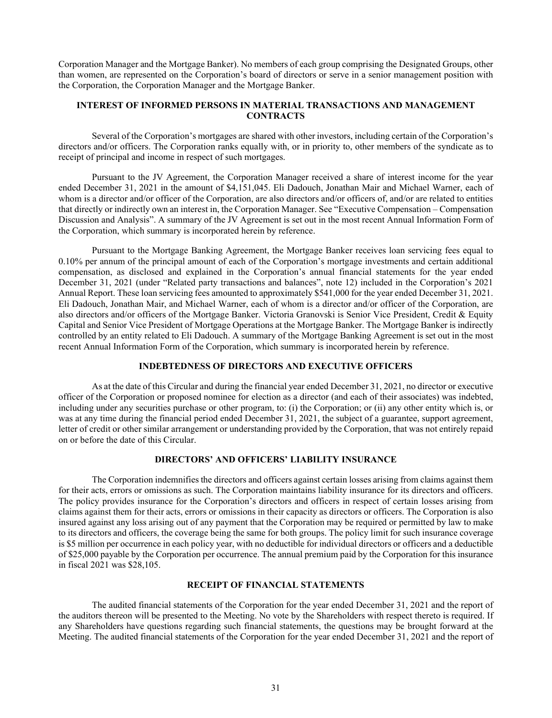Corporation Manager and the Mortgage Banker). No members of each group comprising the Designated Groups, other than women, are represented on the Corporation's board of directors or serve in a senior management position with the Corporation, the Corporation Manager and the Mortgage Banker.

# **INTEREST OF INFORMED PERSONS IN MATERIAL TRANSACTIONS AND MANAGEMENT CONTRACTS**

Several of the Corporation's mortgages are shared with other investors, including certain of the Corporation's directors and/or officers. The Corporation ranks equally with, or in priority to, other members of the syndicate as to receipt of principal and income in respect of such mortgages.

Pursuant to the JV Agreement, the Corporation Manager received a share of interest income for the year ended December 31, 2021 in the amount of \$4,151,045. Eli Dadouch, Jonathan Mair and Michael Warner, each of whom is a director and/or officer of the Corporation, are also directors and/or officers of, and/or are related to entities that directly or indirectly own an interest in, the Corporation Manager. See "Executive Compensation – Compensation Discussion and Analysis". A summary of the JV Agreement is set out in the most recent Annual Information Form of the Corporation, which summary is incorporated herein by reference.

Pursuant to the Mortgage Banking Agreement, the Mortgage Banker receives loan servicing fees equal to 0.10% per annum of the principal amount of each of the Corporation's mortgage investments and certain additional compensation, as disclosed and explained in the Corporation's annual financial statements for the year ended December 31, 2021 (under "Related party transactions and balances", note 12) included in the Corporation's 2021 Annual Report. These loan servicing fees amounted to approximately \$541,000 for the year ended December 31, 2021. Eli Dadouch, Jonathan Mair, and Michael Warner, each of whom is a director and/or officer of the Corporation, are also directors and/or officers of the Mortgage Banker. Victoria Granovski is Senior Vice President, Credit & Equity Capital and Senior Vice President of Mortgage Operations at the Mortgage Banker. The Mortgage Banker is indirectly controlled by an entity related to Eli Dadouch. A summary of the Mortgage Banking Agreement is set out in the most recent Annual Information Form of the Corporation, which summary is incorporated herein by reference.

#### **INDEBTEDNESS OF DIRECTORS AND EXECUTIVE OFFICERS**

As at the date of this Circular and during the financial year ended December 31, 2021, no director or executive officer of the Corporation or proposed nominee for election as a director (and each of their associates) was indebted, including under any securities purchase or other program, to: (i) the Corporation; or (ii) any other entity which is, or was at any time during the financial period ended December 31, 2021, the subject of a guarantee, support agreement, letter of credit or other similar arrangement or understanding provided by the Corporation, that was not entirely repaid on or before the date of this Circular.

# **DIRECTORS' AND OFFICERS' LIABILITY INSURANCE**

The Corporation indemnifies the directors and officers against certain losses arising from claims against them for their acts, errors or omissions as such. The Corporation maintains liability insurance for its directors and officers. The policy provides insurance for the Corporation's directors and officers in respect of certain losses arising from claims against them for their acts, errors or omissions in their capacity as directors or officers. The Corporation is also insured against any loss arising out of any payment that the Corporation may be required or permitted by law to make to its directors and officers, the coverage being the same for both groups. The policy limit for such insurance coverage is \$5 million per occurrence in each policy year, with no deductible for individual directors or officers and a deductible of \$25,000 payable by the Corporation per occurrence. The annual premium paid by the Corporation for this insurance in fiscal 2021 was \$28,105.

#### **RECEIPT OF FINANCIAL STATEMENTS**

The audited financial statements of the Corporation for the year ended December 31, 2021 and the report of the auditors thereon will be presented to the Meeting. No vote by the Shareholders with respect thereto is required. If any Shareholders have questions regarding such financial statements, the questions may be brought forward at the Meeting. The audited financial statements of the Corporation for the year ended December 31, 2021 and the report of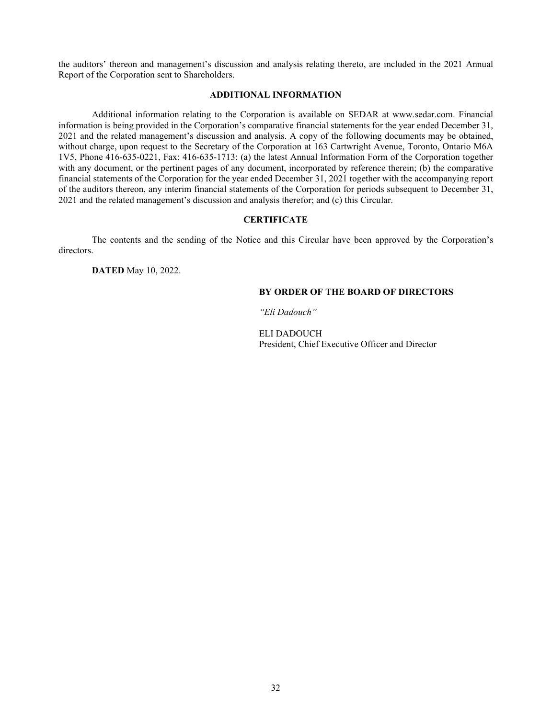the auditors' thereon and management's discussion and analysis relating thereto, are included in the 2021 Annual Report of the Corporation sent to Shareholders.

# **ADDITIONAL INFORMATION**

Additional information relating to the Corporation is available on SEDAR at www.sedar.com. Financial information is being provided in the Corporation's comparative financial statements for the year ended December 31, 2021 and the related management's discussion and analysis. A copy of the following documents may be obtained, without charge, upon request to the Secretary of the Corporation at 163 Cartwright Avenue, Toronto, Ontario M6A 1V5, Phone 416-635-0221, Fax: 416-635-1713: (a) the latest Annual Information Form of the Corporation together with any document, or the pertinent pages of any document, incorporated by reference therein; (b) the comparative financial statements of the Corporation for the year ended December 31, 2021 together with the accompanying report of the auditors thereon, any interim financial statements of the Corporation for periods subsequent to December 31, 2021 and the related management's discussion and analysis therefor; and (c) this Circular.

#### **CERTIFICATE**

The contents and the sending of the Notice and this Circular have been approved by the Corporation's directors.

**DATED** May 10, 2022.

#### **BY ORDER OF THE BOARD OF DIRECTORS**

*"Eli Dadouch"*

ELI DADOUCH President, Chief Executive Officer and Director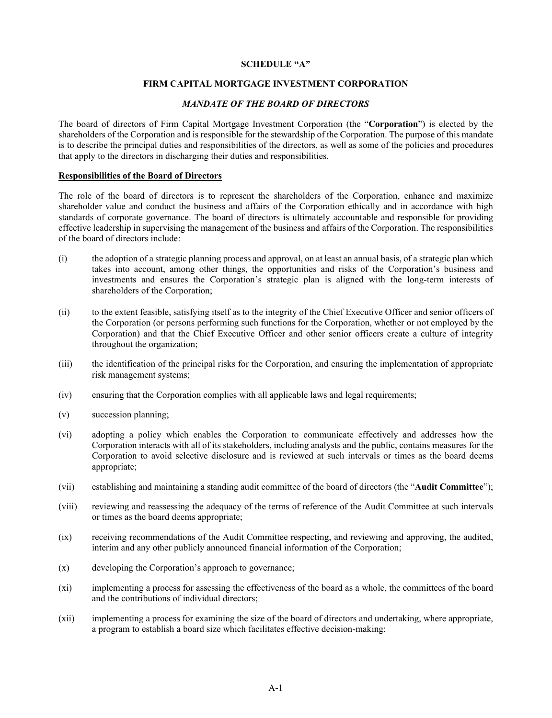# **SCHEDULE "A"**

# **FIRM CAPITAL MORTGAGE INVESTMENT CORPORATION**

# *MANDATE OF THE BOARD OF DIRECTORS*

The board of directors of Firm Capital Mortgage Investment Corporation (the "**Corporation**") is elected by the shareholders of the Corporation and is responsible for the stewardship of the Corporation. The purpose of this mandate is to describe the principal duties and responsibilities of the directors, as well as some of the policies and procedures that apply to the directors in discharging their duties and responsibilities.

#### **Responsibilities of the Board of Directors**

The role of the board of directors is to represent the shareholders of the Corporation, enhance and maximize shareholder value and conduct the business and affairs of the Corporation ethically and in accordance with high standards of corporate governance. The board of directors is ultimately accountable and responsible for providing effective leadership in supervising the management of the business and affairs of the Corporation. The responsibilities of the board of directors include:

- (i) the adoption of a strategic planning process and approval, on at least an annual basis, of a strategic plan which takes into account, among other things, the opportunities and risks of the Corporation's business and investments and ensures the Corporation's strategic plan is aligned with the long-term interests of shareholders of the Corporation;
- (ii) to the extent feasible, satisfying itself as to the integrity of the Chief Executive Officer and senior officers of the Corporation (or persons performing such functions for the Corporation, whether or not employed by the Corporation) and that the Chief Executive Officer and other senior officers create a culture of integrity throughout the organization;
- (iii) the identification of the principal risks for the Corporation, and ensuring the implementation of appropriate risk management systems;
- (iv) ensuring that the Corporation complies with all applicable laws and legal requirements;
- (v) succession planning;
- (vi) adopting a policy which enables the Corporation to communicate effectively and addresses how the Corporation interacts with all of its stakeholders, including analysts and the public, contains measures for the Corporation to avoid selective disclosure and is reviewed at such intervals or times as the board deems appropriate;
- (vii) establishing and maintaining a standing audit committee of the board of directors (the "**Audit Committee**");
- (viii) reviewing and reassessing the adequacy of the terms of reference of the Audit Committee at such intervals or times as the board deems appropriate;
- (ix) receiving recommendations of the Audit Committee respecting, and reviewing and approving, the audited, interim and any other publicly announced financial information of the Corporation;
- (x) developing the Corporation's approach to governance;
- (xi) implementing a process for assessing the effectiveness of the board as a whole, the committees of the board and the contributions of individual directors;
- (xii) implementing a process for examining the size of the board of directors and undertaking, where appropriate, a program to establish a board size which facilitates effective decision-making;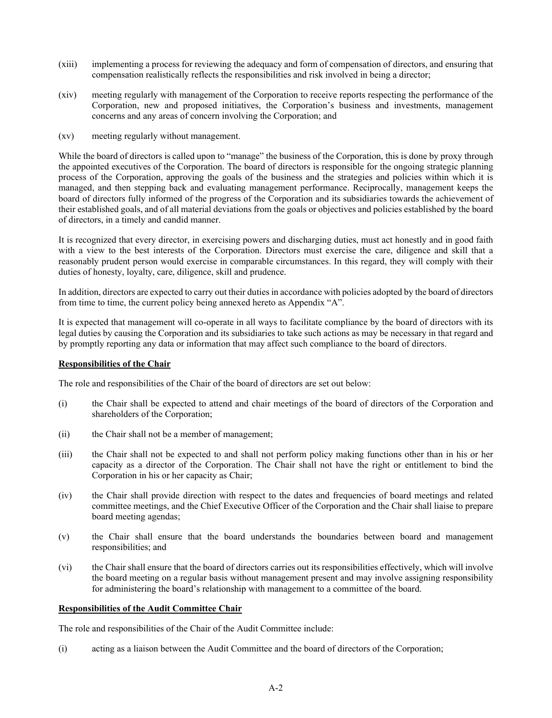- (xiii) implementing a process for reviewing the adequacy and form of compensation of directors, and ensuring that compensation realistically reflects the responsibilities and risk involved in being a director;
- (xiv) meeting regularly with management of the Corporation to receive reports respecting the performance of the Corporation, new and proposed initiatives, the Corporation's business and investments, management concerns and any areas of concern involving the Corporation; and
- (xv) meeting regularly without management.

While the board of directors is called upon to "manage" the business of the Corporation, this is done by proxy through the appointed executives of the Corporation. The board of directors is responsible for the ongoing strategic planning process of the Corporation, approving the goals of the business and the strategies and policies within which it is managed, and then stepping back and evaluating management performance. Reciprocally, management keeps the board of directors fully informed of the progress of the Corporation and its subsidiaries towards the achievement of their established goals, and of all material deviations from the goals or objectives and policies established by the board of directors, in a timely and candid manner.

It is recognized that every director, in exercising powers and discharging duties, must act honestly and in good faith with a view to the best interests of the Corporation. Directors must exercise the care, diligence and skill that a reasonably prudent person would exercise in comparable circumstances. In this regard, they will comply with their duties of honesty, loyalty, care, diligence, skill and prudence.

In addition, directors are expected to carry out their duties in accordance with policies adopted by the board of directors from time to time, the current policy being annexed hereto as Appendix "A".

It is expected that management will co-operate in all ways to facilitate compliance by the board of directors with its legal duties by causing the Corporation and its subsidiaries to take such actions as may be necessary in that regard and by promptly reporting any data or information that may affect such compliance to the board of directors.

# **Responsibilities of the Chair**

The role and responsibilities of the Chair of the board of directors are set out below:

- (i) the Chair shall be expected to attend and chair meetings of the board of directors of the Corporation and shareholders of the Corporation;
- (ii) the Chair shall not be a member of management;
- (iii) the Chair shall not be expected to and shall not perform policy making functions other than in his or her capacity as a director of the Corporation. The Chair shall not have the right or entitlement to bind the Corporation in his or her capacity as Chair;
- (iv) the Chair shall provide direction with respect to the dates and frequencies of board meetings and related committee meetings, and the Chief Executive Officer of the Corporation and the Chair shall liaise to prepare board meeting agendas;
- (v) the Chair shall ensure that the board understands the boundaries between board and management responsibilities; and
- (vi) the Chair shall ensure that the board of directors carries out its responsibilities effectively, which will involve the board meeting on a regular basis without management present and may involve assigning responsibility for administering the board's relationship with management to a committee of the board.

# **Responsibilities of the Audit Committee Chair**

The role and responsibilities of the Chair of the Audit Committee include:

(i) acting as a liaison between the Audit Committee and the board of directors of the Corporation;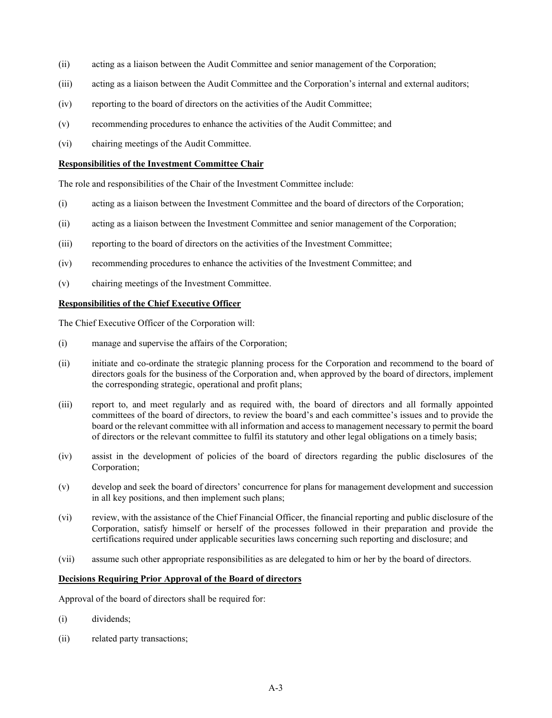- (ii) acting as a liaison between the Audit Committee and senior management of the Corporation;
- (iii) acting as a liaison between the Audit Committee and the Corporation's internal and external auditors;
- (iv) reporting to the board of directors on the activities of the Audit Committee;
- (v) recommending procedures to enhance the activities of the Audit Committee; and
- (vi) chairing meetings of the Audit Committee.

# **Responsibilities of the Investment Committee Chair**

The role and responsibilities of the Chair of the Investment Committee include:

- (i) acting as a liaison between the Investment Committee and the board of directors of the Corporation;
- (ii) acting as a liaison between the Investment Committee and senior management of the Corporation;
- (iii) reporting to the board of directors on the activities of the Investment Committee;
- (iv) recommending procedures to enhance the activities of the Investment Committee; and
- (v) chairing meetings of the Investment Committee.

#### **Responsibilities of the Chief Executive Officer**

The Chief Executive Officer of the Corporation will:

- (i) manage and supervise the affairs of the Corporation;
- (ii) initiate and co-ordinate the strategic planning process for the Corporation and recommend to the board of directors goals for the business of the Corporation and, when approved by the board of directors, implement the corresponding strategic, operational and profit plans;
- (iii) report to, and meet regularly and as required with, the board of directors and all formally appointed committees of the board of directors, to review the board's and each committee's issues and to provide the board or the relevant committee with all information and access to management necessary to permit the board of directors or the relevant committee to fulfil its statutory and other legal obligations on a timely basis;
- (iv) assist in the development of policies of the board of directors regarding the public disclosures of the Corporation;
- (v) develop and seek the board of directors' concurrence for plans for management development and succession in all key positions, and then implement such plans;
- (vi) review, with the assistance of the Chief Financial Officer, the financial reporting and public disclosure of the Corporation, satisfy himself or herself of the processes followed in their preparation and provide the certifications required under applicable securities laws concerning such reporting and disclosure; and
- (vii) assume such other appropriate responsibilities as are delegated to him or her by the board of directors.

#### **Decisions Requiring Prior Approval of the Board of directors**

Approval of the board of directors shall be required for:

- (i) dividends;
- (ii) related party transactions;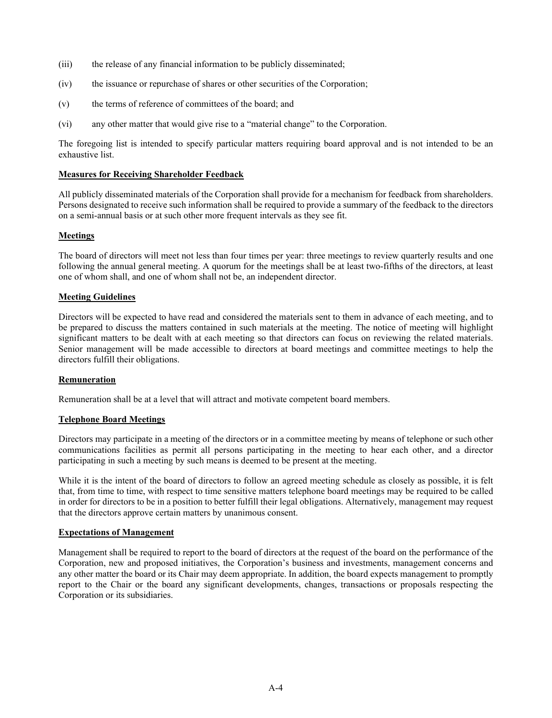- (iii) the release of any financial information to be publicly disseminated;
- (iv) the issuance or repurchase of shares or other securities of the Corporation;
- (v) the terms of reference of committees of the board; and
- (vi) any other matter that would give rise to a "material change" to the Corporation.

The foregoing list is intended to specify particular matters requiring board approval and is not intended to be an exhaustive list.

#### **Measures for Receiving Shareholder Feedback**

All publicly disseminated materials of the Corporation shall provide for a mechanism for feedback from shareholders. Persons designated to receive such information shall be required to provide a summary of the feedback to the directors on a semi-annual basis or at such other more frequent intervals as they see fit.

#### **Meetings**

The board of directors will meet not less than four times per year: three meetings to review quarterly results and one following the annual general meeting. A quorum for the meetings shall be at least two-fifths of the directors, at least one of whom shall, and one of whom shall not be, an independent director.

#### **Meeting Guidelines**

Directors will be expected to have read and considered the materials sent to them in advance of each meeting, and to be prepared to discuss the matters contained in such materials at the meeting. The notice of meeting will highlight significant matters to be dealt with at each meeting so that directors can focus on reviewing the related materials. Senior management will be made accessible to directors at board meetings and committee meetings to help the directors fulfill their obligations.

#### **Remuneration**

Remuneration shall be at a level that will attract and motivate competent board members.

## **Telephone Board Meetings**

Directors may participate in a meeting of the directors or in a committee meeting by means of telephone or such other communications facilities as permit all persons participating in the meeting to hear each other, and a director participating in such a meeting by such means is deemed to be present at the meeting.

While it is the intent of the board of directors to follow an agreed meeting schedule as closely as possible, it is felt that, from time to time, with respect to time sensitive matters telephone board meetings may be required to be called in order for directors to be in a position to better fulfill their legal obligations. Alternatively, management may request that the directors approve certain matters by unanimous consent.

#### **Expectations of Management**

Management shall be required to report to the board of directors at the request of the board on the performance of the Corporation, new and proposed initiatives, the Corporation's business and investments, management concerns and any other matter the board or its Chair may deem appropriate. In addition, the board expects management to promptly report to the Chair or the board any significant developments, changes, transactions or proposals respecting the Corporation or its subsidiaries.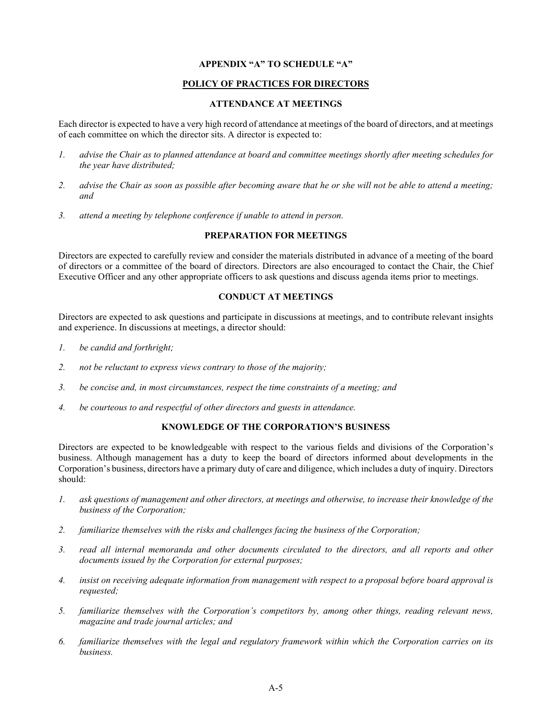# **APPENDIX "A" TO SCHEDULE "A"**

# **POLICY OF PRACTICES FOR DIRECTORS**

# **ATTENDANCE AT MEETINGS**

Each director is expected to have a very high record of attendance at meetings of the board of directors, and at meetings of each committee on which the director sits. A director is expected to:

- *1. advise the Chair as to planned attendance at board and committee meetings shortly after meeting schedules for the year have distributed;*
- *2. advise the Chair as soon as possible after becoming aware that he or she will not be able to attend a meeting; and*
- *3. attend a meeting by telephone conference if unable to attend in person.*

# **PREPARATION FOR MEETINGS**

Directors are expected to carefully review and consider the materials distributed in advance of a meeting of the board of directors or a committee of the board of directors. Directors are also encouraged to contact the Chair, the Chief Executive Officer and any other appropriate officers to ask questions and discuss agenda items prior to meetings.

# **CONDUCT AT MEETINGS**

Directors are expected to ask questions and participate in discussions at meetings, and to contribute relevant insights and experience. In discussions at meetings, a director should:

- *1. be candid and forthright;*
- *2. not be reluctant to express views contrary to those of the majority;*
- *3. be concise and, in most circumstances, respect the time constraints of a meeting; and*
- *4. be courteous to and respectful of other directors and guests in attendance.*

# **KNOWLEDGE OF THE CORPORATION'S BUSINESS**

Directors are expected to be knowledgeable with respect to the various fields and divisions of the Corporation's business. Although management has a duty to keep the board of directors informed about developments in the Corporation's business, directors have a primary duty of care and diligence, which includes a duty of inquiry. Directors should:

- *1. ask questions of management and other directors, at meetings and otherwise, to increase their knowledge of the business of the Corporation;*
- *2. familiarize themselves with the risks and challenges facing the business of the Corporation;*
- *3. read all internal memoranda and other documents circulated to the directors, and all reports and other documents issued by the Corporation for external purposes;*
- *4. insist on receiving adequate information from management with respect to a proposal before board approval is requested;*
- *5. familiarize themselves with the Corporation's competitors by, among other things, reading relevant news, magazine and trade journal articles; and*
- *6. familiarize themselves with the legal and regulatory framework within which the Corporation carries on its business.*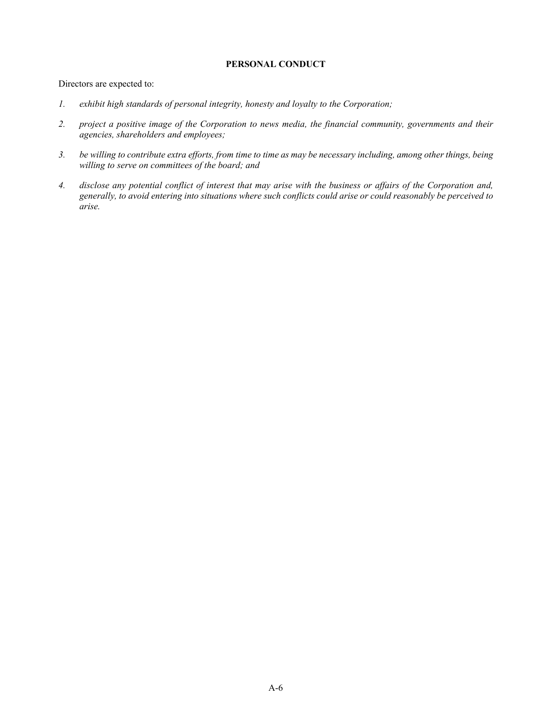# **PERSONAL CONDUCT**

Directors are expected to:

- *1. exhibit high standards of personal integrity, honesty and loyalty to the Corporation;*
- *2. project a positive image of the Corporation to news media, the financial community, governments and their agencies, shareholders and employees;*
- *3. be willing to contribute extra efforts, from time to time as may be necessary including, among other things, being willing to serve on committees of the board; and*
- *4. disclose any potential conflict of interest that may arise with the business or affairs of the Corporation and, generally, to avoid entering into situations where such conflicts could arise or could reasonably be perceived to arise.*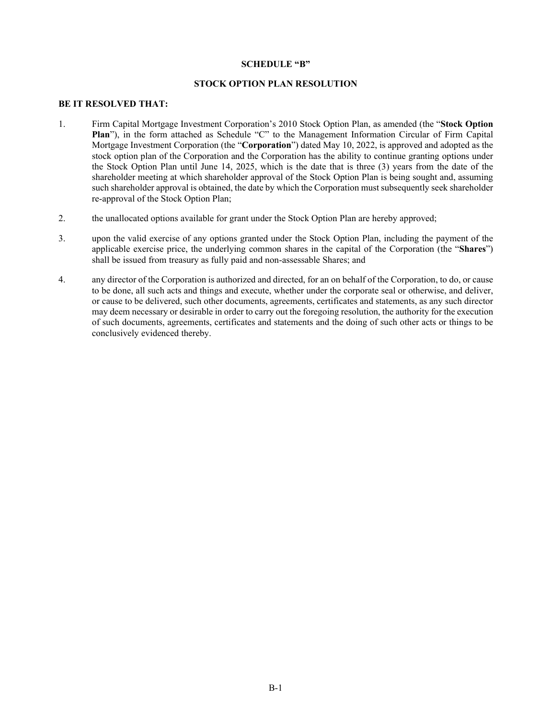#### **SCHEDULE "B"**

## **STOCK OPTION PLAN RESOLUTION**

# **BE IT RESOLVED THAT:**

- 1. Firm Capital Mortgage Investment Corporation's 2010 Stock Option Plan, as amended (the "**Stock Option Plan**"), in the form attached as Schedule "C" to the Management Information Circular of Firm Capital Mortgage Investment Corporation (the "**Corporation**") dated May 10, 2022, is approved and adopted as the stock option plan of the Corporation and the Corporation has the ability to continue granting options under the Stock Option Plan until June 14, 2025, which is the date that is three (3) years from the date of the shareholder meeting at which shareholder approval of the Stock Option Plan is being sought and, assuming such shareholder approval is obtained, the date by which the Corporation must subsequently seek shareholder re-approval of the Stock Option Plan;
- 2. the unallocated options available for grant under the Stock Option Plan are hereby approved;
- 3. upon the valid exercise of any options granted under the Stock Option Plan, including the payment of the applicable exercise price, the underlying common shares in the capital of the Corporation (the "**Shares**") shall be issued from treasury as fully paid and non-assessable Shares; and
- 4. any director of the Corporation is authorized and directed, for an on behalf of the Corporation, to do, or cause to be done, all such acts and things and execute, whether under the corporate seal or otherwise, and deliver, or cause to be delivered, such other documents, agreements, certificates and statements, as any such director may deem necessary or desirable in order to carry out the foregoing resolution, the authority for the execution of such documents, agreements, certificates and statements and the doing of such other acts or things to be conclusively evidenced thereby.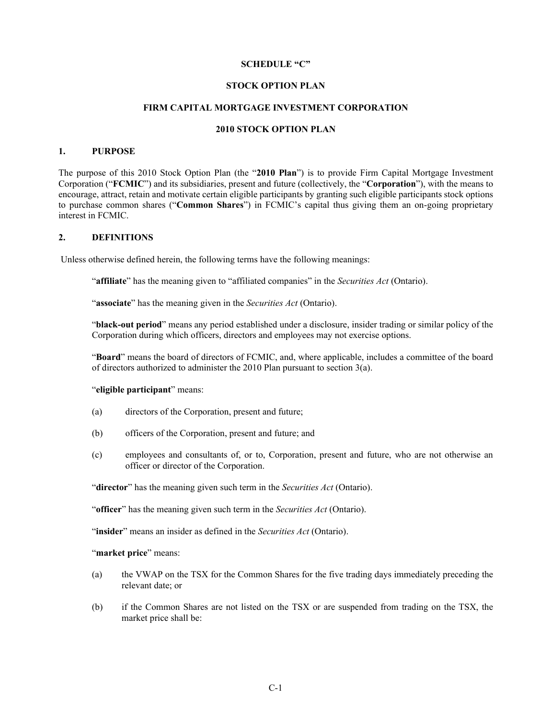#### **SCHEDULE "C"**

# **STOCK OPTION PLAN**

# **FIRM CAPITAL MORTGAGE INVESTMENT CORPORATION**

#### **2010 STOCK OPTION PLAN**

## **1. PURPOSE**

The purpose of this 2010 Stock Option Plan (the "**2010 Plan**") is to provide Firm Capital Mortgage Investment Corporation ("**FCMIC**") and its subsidiaries, present and future (collectively, the "**Corporation**"), with the means to encourage, attract, retain and motivate certain eligible participants by granting such eligible participants stock options to purchase common shares ("**Common Shares**") in FCMIC's capital thus giving them an on-going proprietary interest in FCMIC.

#### **2. DEFINITIONS**

Unless otherwise defined herein, the following terms have the following meanings:

"**affiliate**" has the meaning given to "affiliated companies" in the *Securities Act* (Ontario).

"**associate**" has the meaning given in the *Securities Act* (Ontario).

"**black-out period**" means any period established under a disclosure, insider trading or similar policy of the Corporation during which officers, directors and employees may not exercise options.

"**Board**" means the board of directors of FCMIC, and, where applicable, includes a committee of the board of directors authorized to administer the 2010 Plan pursuant to section 3(a).

#### "**eligible participant**" means:

- (a) directors of the Corporation, present and future;
- (b) officers of the Corporation, present and future; and
- (c) employees and consultants of, or to, Corporation, present and future, who are not otherwise an officer or director of the Corporation.

"**director**" has the meaning given such term in the *Securities Act* (Ontario).

"**officer**" has the meaning given such term in the *Securities Act* (Ontario).

"**insider**" means an insider as defined in the *Securities Act* (Ontario).

"**market price**" means:

- (a) the VWAP on the TSX for the Common Shares for the five trading days immediately preceding the relevant date; or
- (b) if the Common Shares are not listed on the TSX or are suspended from trading on the TSX, the market price shall be: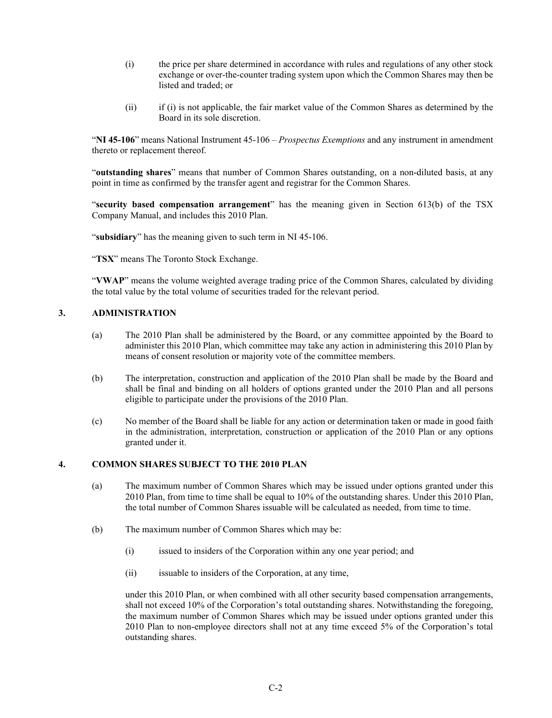- (i) the price per share determined in accordance with rules and regulations of any other stock exchange or over-the-counter trading system upon which the Common Shares may then be listed and traded; or
- (ii) if (i) is not applicable, the fair market value of the Common Shares as determined by the Board in its sole discretion.

"**NI 45-106**" means National Instrument 45-106 – *Prospectus Exemptions* and any instrument in amendment thereto or replacement thereof.

"**outstanding shares**" means that number of Common Shares outstanding, on a non-diluted basis, at any point in time as confirmed by the transfer agent and registrar for the Common Shares.

"**security based compensation arrangement**" has the meaning given in Section 613(b) of the TSX Company Manual, and includes this 2010 Plan.

"**subsidiary**" has the meaning given to such term in NI 45-106.

"**TSX**" means The Toronto Stock Exchange.

"**VWAP**" means the volume weighted average trading price of the Common Shares, calculated by dividing the total value by the total volume of securities traded for the relevant period.

# **3. ADMINISTRATION**

- (a) The 2010 Plan shall be administered by the Board, or any committee appointed by the Board to administer this 2010 Plan, which committee may take any action in administering this 2010 Plan by means of consent resolution or majority vote of the committee members.
- (b) The interpretation, construction and application of the 2010 Plan shall be made by the Board and shall be final and binding on all holders of options granted under the 2010 Plan and all persons eligible to participate under the provisions of the 2010 Plan.
- (c) No member of the Board shall be liable for any action or determination taken or made in good faith in the administration, interpretation, construction or application of the 2010 Plan or any options granted under it.

#### **4. COMMON SHARES SUBJECT TO THE 2010 PLAN**

- (a) The maximum number of Common Shares which may be issued under options granted under this 2010 Plan, from time to time shall be equal to 10% of the outstanding shares. Under this 2010 Plan, the total number of Common Shares issuable will be calculated as needed, from time to time.
- (b) The maximum number of Common Shares which may be:
	- (i) issued to insiders of the Corporation within any one year period; and
	- (ii) issuable to insiders of the Corporation, at any time,

under this 2010 Plan, or when combined with all other security based compensation arrangements, shall not exceed 10% of the Corporation's total outstanding shares. Notwithstanding the foregoing, the maximum number of Common Shares which may be issued under options granted under this 2010 Plan to non-employee directors shall not at any time exceed 5% of the Corporation's total outstanding shares.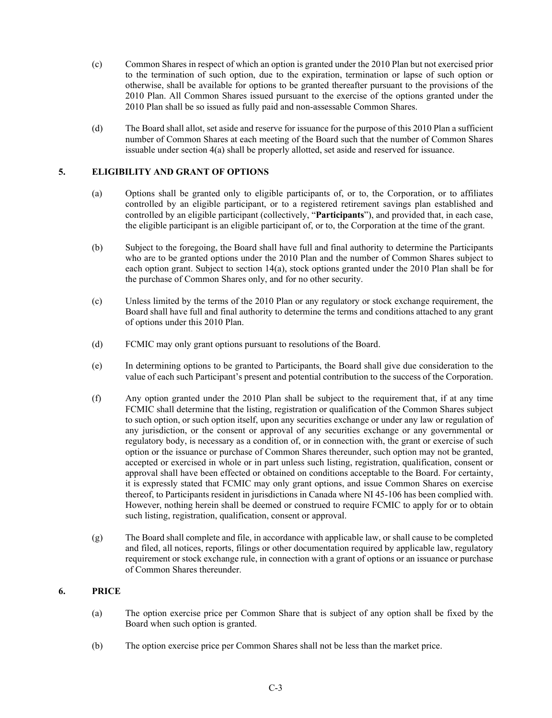- (c) Common Shares in respect of which an option is granted under the 2010 Plan but not exercised prior to the termination of such option, due to the expiration, termination or lapse of such option or otherwise, shall be available for options to be granted thereafter pursuant to the provisions of the 2010 Plan. All Common Shares issued pursuant to the exercise of the options granted under the 2010 Plan shall be so issued as fully paid and non-assessable Common Shares.
- (d) The Board shall allot, set aside and reserve for issuance for the purpose of this 2010 Plan a sufficient number of Common Shares at each meeting of the Board such that the number of Common Shares issuable under section 4(a) shall be properly allotted, set aside and reserved for issuance.

# **5. ELIGIBILITY AND GRANT OF OPTIONS**

- (a) Options shall be granted only to eligible participants of, or to, the Corporation, or to affiliates controlled by an eligible participant, or to a registered retirement savings plan established and controlled by an eligible participant (collectively, "**Participants**"), and provided that, in each case, the eligible participant is an eligible participant of, or to, the Corporation at the time of the grant.
- (b) Subject to the foregoing, the Board shall have full and final authority to determine the Participants who are to be granted options under the 2010 Plan and the number of Common Shares subject to each option grant. Subject to section 14(a), stock options granted under the 2010 Plan shall be for the purchase of Common Shares only, and for no other security.
- (c) Unless limited by the terms of the 2010 Plan or any regulatory or stock exchange requirement, the Board shall have full and final authority to determine the terms and conditions attached to any grant of options under this 2010 Plan.
- (d) FCMIC may only grant options pursuant to resolutions of the Board.
- (e) In determining options to be granted to Participants, the Board shall give due consideration to the value of each such Participant's present and potential contribution to the success of the Corporation.
- (f) Any option granted under the 2010 Plan shall be subject to the requirement that, if at any time FCMIC shall determine that the listing, registration or qualification of the Common Shares subject to such option, or such option itself, upon any securities exchange or under any law or regulation of any jurisdiction, or the consent or approval of any securities exchange or any governmental or regulatory body, is necessary as a condition of, or in connection with, the grant or exercise of such option or the issuance or purchase of Common Shares thereunder, such option may not be granted, accepted or exercised in whole or in part unless such listing, registration, qualification, consent or approval shall have been effected or obtained on conditions acceptable to the Board. For certainty, it is expressly stated that FCMIC may only grant options, and issue Common Shares on exercise thereof, to Participants resident in jurisdictions in Canada where NI 45-106 has been complied with. However, nothing herein shall be deemed or construed to require FCMIC to apply for or to obtain such listing, registration, qualification, consent or approval.
- (g) The Board shall complete and file, in accordance with applicable law, or shall cause to be completed and filed, all notices, reports, filings or other documentation required by applicable law, regulatory requirement or stock exchange rule, in connection with a grant of options or an issuance or purchase of Common Shares thereunder.

# **6. PRICE**

- (a) The option exercise price per Common Share that is subject of any option shall be fixed by the Board when such option is granted.
- (b) The option exercise price per Common Shares shall not be less than the market price.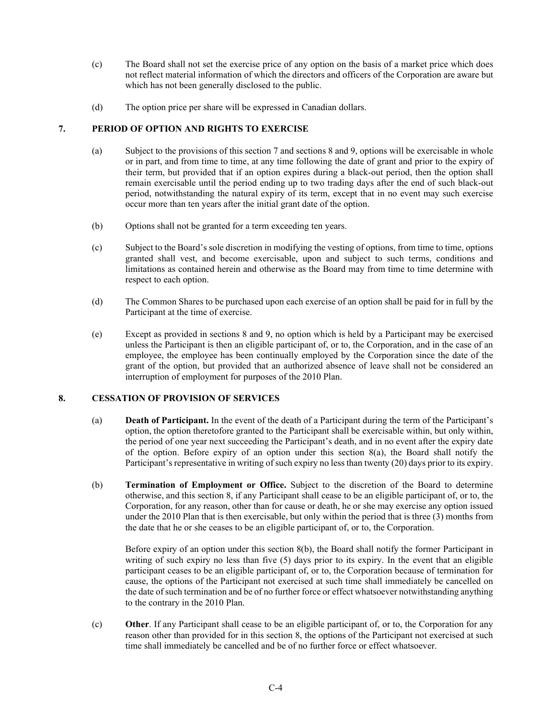- (c) The Board shall not set the exercise price of any option on the basis of a market price which does not reflect material information of which the directors and officers of the Corporation are aware but which has not been generally disclosed to the public.
- (d) The option price per share will be expressed in Canadian dollars.

# **7. PERIOD OF OPTION AND RIGHTS TO EXERCISE**

- (a) Subject to the provisions of this section 7 and sections 8 and 9, options will be exercisable in whole or in part, and from time to time, at any time following the date of grant and prior to the expiry of their term, but provided that if an option expires during a black-out period, then the option shall remain exercisable until the period ending up to two trading days after the end of such black-out period, notwithstanding the natural expiry of its term, except that in no event may such exercise occur more than ten years after the initial grant date of the option.
- (b) Options shall not be granted for a term exceeding ten years.
- (c) Subject to the Board's sole discretion in modifying the vesting of options, from time to time, options granted shall vest, and become exercisable, upon and subject to such terms, conditions and limitations as contained herein and otherwise as the Board may from time to time determine with respect to each option.
- (d) The Common Shares to be purchased upon each exercise of an option shall be paid for in full by the Participant at the time of exercise.
- (e) Except as provided in sections 8 and 9, no option which is held by a Participant may be exercised unless the Participant is then an eligible participant of, or to, the Corporation, and in the case of an employee, the employee has been continually employed by the Corporation since the date of the grant of the option, but provided that an authorized absence of leave shall not be considered an interruption of employment for purposes of the 2010 Plan.

# **8. CESSATION OF PROVISION OF SERVICES**

- (a) **Death of Participant.** In the event of the death of a Participant during the term of the Participant's option, the option theretofore granted to the Participant shall be exercisable within, but only within, the period of one year next succeeding the Participant's death, and in no event after the expiry date of the option. Before expiry of an option under this section  $8(a)$ , the Board shall notify the Participant's representative in writing of such expiry no less than twenty (20) days prior to its expiry.
- (b) **Termination of Employment or Office.** Subject to the discretion of the Board to determine otherwise, and this section 8, if any Participant shall cease to be an eligible participant of, or to, the Corporation, for any reason, other than for cause or death, he or she may exercise any option issued under the 2010 Plan that is then exercisable, but only within the period that is three (3) months from the date that he or she ceases to be an eligible participant of, or to, the Corporation.

Before expiry of an option under this section 8(b), the Board shall notify the former Participant in writing of such expiry no less than five (5) days prior to its expiry. In the event that an eligible participant ceases to be an eligible participant of, or to, the Corporation because of termination for cause, the options of the Participant not exercised at such time shall immediately be cancelled on the date of such termination and be of no further force or effect whatsoever notwithstanding anything to the contrary in the 2010 Plan.

(c) **Other**. If any Participant shall cease to be an eligible participant of, or to, the Corporation for any reason other than provided for in this section 8, the options of the Participant not exercised at such time shall immediately be cancelled and be of no further force or effect whatsoever.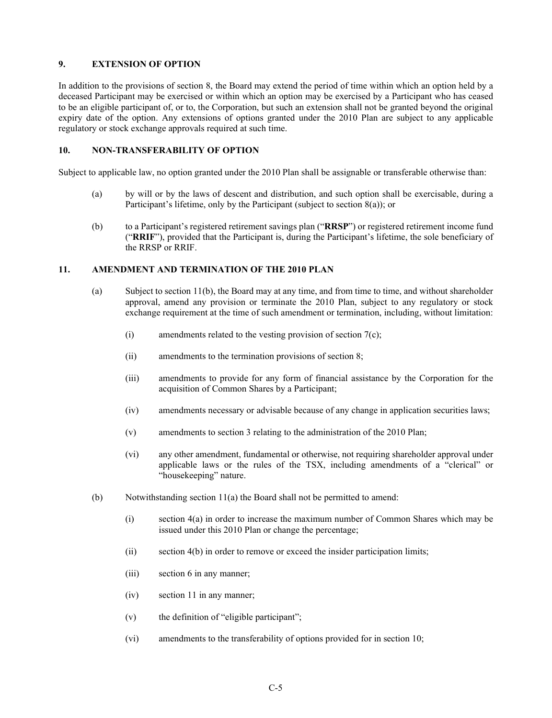# **9. EXTENSION OF OPTION**

In addition to the provisions of section 8, the Board may extend the period of time within which an option held by a deceased Participant may be exercised or within which an option may be exercised by a Participant who has ceased to be an eligible participant of, or to, the Corporation, but such an extension shall not be granted beyond the original expiry date of the option. Any extensions of options granted under the 2010 Plan are subject to any applicable regulatory or stock exchange approvals required at such time.

# **10. NON-TRANSFERABILITY OF OPTION**

Subject to applicable law, no option granted under the 2010 Plan shall be assignable or transferable otherwise than:

- (a) by will or by the laws of descent and distribution, and such option shall be exercisable, during a Participant's lifetime, only by the Participant (subject to section 8(a)); or
- (b) to a Participant's registered retirement savings plan ("**RRSP**") or registered retirement income fund ("**RRIF**"), provided that the Participant is, during the Participant's lifetime, the sole beneficiary of the RRSP or RRIF.

# **11. AMENDMENT AND TERMINATION OF THE 2010 PLAN**

- (a) Subject to section 11(b), the Board may at any time, and from time to time, and without shareholder approval, amend any provision or terminate the 2010 Plan, subject to any regulatory or stock exchange requirement at the time of such amendment or termination, including, without limitation:
	- (i) amendments related to the vesting provision of section  $7(c)$ ;
	- (ii) amendments to the termination provisions of section 8;
	- (iii) amendments to provide for any form of financial assistance by the Corporation for the acquisition of Common Shares by a Participant;
	- (iv) amendments necessary or advisable because of any change in application securities laws;
	- (v) amendments to section 3 relating to the administration of the 2010 Plan;
	- (vi) any other amendment, fundamental or otherwise, not requiring shareholder approval under applicable laws or the rules of the TSX, including amendments of a "clerical" or "housekeeping" nature.
- (b) Notwithstanding section  $11(a)$  the Board shall not be permitted to amend:
	- (i) section 4(a) in order to increase the maximum number of Common Shares which may be issued under this 2010 Plan or change the percentage;
	- (ii) section 4(b) in order to remove or exceed the insider participation limits;
	- (iii) section 6 in any manner;
	- (iv) section 11 in any manner;
	- (v) the definition of "eligible participant";
	- (vi) amendments to the transferability of options provided for in section 10;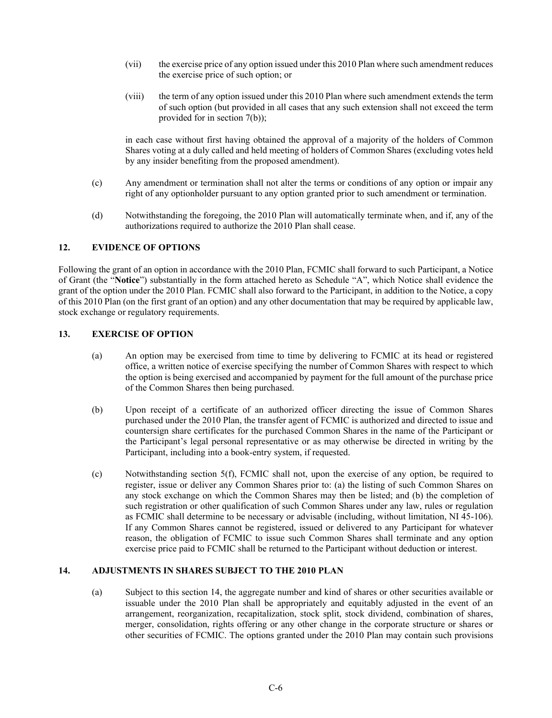- (vii) the exercise price of any option issued under this 2010 Plan where such amendment reduces the exercise price of such option; or
- (viii) the term of any option issued under this 2010 Plan where such amendment extends the term of such option (but provided in all cases that any such extension shall not exceed the term provided for in section 7(b));

in each case without first having obtained the approval of a majority of the holders of Common Shares voting at a duly called and held meeting of holders of Common Shares (excluding votes held by any insider benefiting from the proposed amendment).

- (c) Any amendment or termination shall not alter the terms or conditions of any option or impair any right of any optionholder pursuant to any option granted prior to such amendment or termination.
- (d) Notwithstanding the foregoing, the 2010 Plan will automatically terminate when, and if, any of the authorizations required to authorize the 2010 Plan shall cease.

# **12. EVIDENCE OF OPTIONS**

Following the grant of an option in accordance with the 2010 Plan, FCMIC shall forward to such Participant, a Notice of Grant (the "**Notice**") substantially in the form attached hereto as Schedule "A", which Notice shall evidence the grant of the option under the 2010 Plan. FCMIC shall also forward to the Participant, in addition to the Notice, a copy of this 2010 Plan (on the first grant of an option) and any other documentation that may be required by applicable law, stock exchange or regulatory requirements.

# **13. EXERCISE OF OPTION**

- (a) An option may be exercised from time to time by delivering to FCMIC at its head or registered office, a written notice of exercise specifying the number of Common Shares with respect to which the option is being exercised and accompanied by payment for the full amount of the purchase price of the Common Shares then being purchased.
- (b) Upon receipt of a certificate of an authorized officer directing the issue of Common Shares purchased under the 2010 Plan, the transfer agent of FCMIC is authorized and directed to issue and countersign share certificates for the purchased Common Shares in the name of the Participant or the Participant's legal personal representative or as may otherwise be directed in writing by the Participant, including into a book-entry system, if requested.
- (c) Notwithstanding section 5(f), FCMIC shall not, upon the exercise of any option, be required to register, issue or deliver any Common Shares prior to: (a) the listing of such Common Shares on any stock exchange on which the Common Shares may then be listed; and (b) the completion of such registration or other qualification of such Common Shares under any law, rules or regulation as FCMIC shall determine to be necessary or advisable (including, without limitation, NI 45-106). If any Common Shares cannot be registered, issued or delivered to any Participant for whatever reason, the obligation of FCMIC to issue such Common Shares shall terminate and any option exercise price paid to FCMIC shall be returned to the Participant without deduction or interest.

# **14. ADJUSTMENTS IN SHARES SUBJECT TO THE 2010 PLAN**

(a) Subject to this section 14, the aggregate number and kind of shares or other securities available or issuable under the 2010 Plan shall be appropriately and equitably adjusted in the event of an arrangement, reorganization, recapitalization, stock split, stock dividend, combination of shares, merger, consolidation, rights offering or any other change in the corporate structure or shares or other securities of FCMIC. The options granted under the 2010 Plan may contain such provisions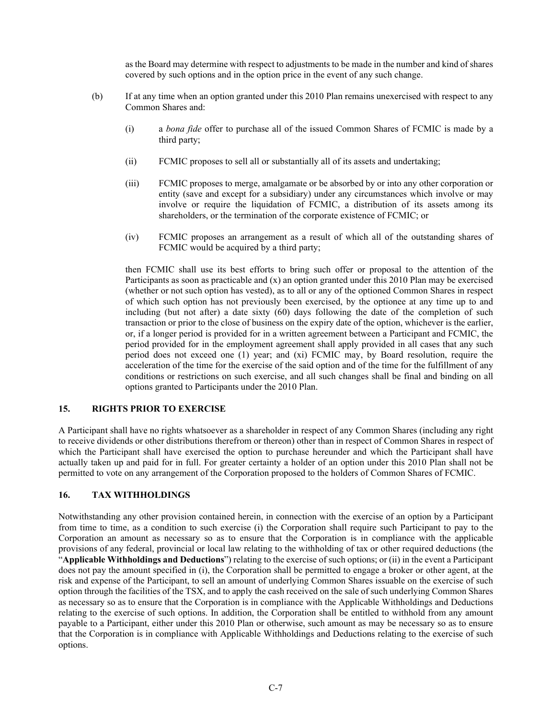as the Board may determine with respect to adjustments to be made in the number and kind of shares covered by such options and in the option price in the event of any such change.

- (b) If at any time when an option granted under this 2010 Plan remains unexercised with respect to any Common Shares and:
	- (i) a *bona fide* offer to purchase all of the issued Common Shares of FCMIC is made by a third party;
	- (ii) FCMIC proposes to sell all or substantially all of its assets and undertaking;
	- (iii) FCMIC proposes to merge, amalgamate or be absorbed by or into any other corporation or entity (save and except for a subsidiary) under any circumstances which involve or may involve or require the liquidation of FCMIC, a distribution of its assets among its shareholders, or the termination of the corporate existence of FCMIC; or
	- (iv) FCMIC proposes an arrangement as a result of which all of the outstanding shares of FCMIC would be acquired by a third party;

then FCMIC shall use its best efforts to bring such offer or proposal to the attention of the Participants as soon as practicable and (x) an option granted under this 2010 Plan may be exercised (whether or not such option has vested), as to all or any of the optioned Common Shares in respect of which such option has not previously been exercised, by the optionee at any time up to and including (but not after) a date sixty (60) days following the date of the completion of such transaction or prior to the close of business on the expiry date of the option, whichever is the earlier, or, if a longer period is provided for in a written agreement between a Participant and FCMIC, the period provided for in the employment agreement shall apply provided in all cases that any such period does not exceed one (1) year; and (xi) FCMIC may, by Board resolution, require the acceleration of the time for the exercise of the said option and of the time for the fulfillment of any conditions or restrictions on such exercise, and all such changes shall be final and binding on all options granted to Participants under the 2010 Plan.

# **15. RIGHTS PRIOR TO EXERCISE**

A Participant shall have no rights whatsoever as a shareholder in respect of any Common Shares (including any right to receive dividends or other distributions therefrom or thereon) other than in respect of Common Shares in respect of which the Participant shall have exercised the option to purchase hereunder and which the Participant shall have actually taken up and paid for in full. For greater certainty a holder of an option under this 2010 Plan shall not be permitted to vote on any arrangement of the Corporation proposed to the holders of Common Shares of FCMIC.

# **16. TAX WITHHOLDINGS**

Notwithstanding any other provision contained herein, in connection with the exercise of an option by a Participant from time to time, as a condition to such exercise (i) the Corporation shall require such Participant to pay to the Corporation an amount as necessary so as to ensure that the Corporation is in compliance with the applicable provisions of any federal, provincial or local law relating to the withholding of tax or other required deductions (the "**Applicable Withholdings and Deductions**") relating to the exercise of such options; or (ii) in the event a Participant does not pay the amount specified in (i), the Corporation shall be permitted to engage a broker or other agent, at the risk and expense of the Participant, to sell an amount of underlying Common Shares issuable on the exercise of such option through the facilities of the TSX, and to apply the cash received on the sale of such underlying Common Shares as necessary so as to ensure that the Corporation is in compliance with the Applicable Withholdings and Deductions relating to the exercise of such options. In addition, the Corporation shall be entitled to withhold from any amount payable to a Participant, either under this 2010 Plan or otherwise, such amount as may be necessary so as to ensure that the Corporation is in compliance with Applicable Withholdings and Deductions relating to the exercise of such options.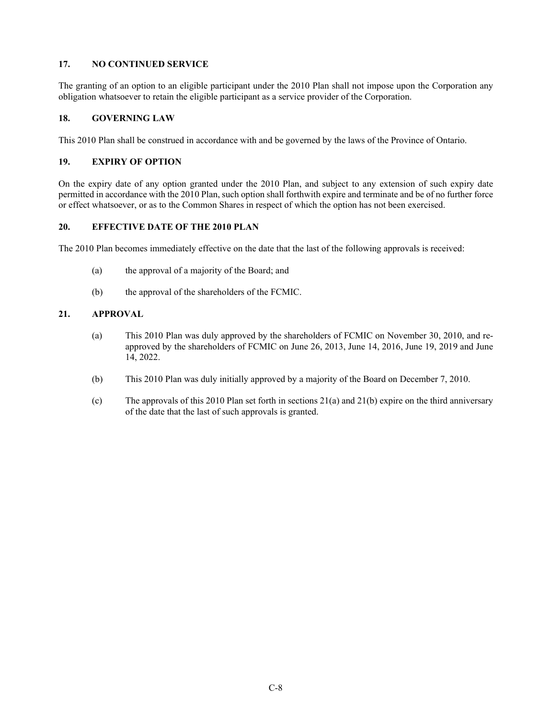# **17. NO CONTINUED SERVICE**

The granting of an option to an eligible participant under the 2010 Plan shall not impose upon the Corporation any obligation whatsoever to retain the eligible participant as a service provider of the Corporation.

# **18. GOVERNING LAW**

This 2010 Plan shall be construed in accordance with and be governed by the laws of the Province of Ontario.

# **19. EXPIRY OF OPTION**

On the expiry date of any option granted under the 2010 Plan, and subject to any extension of such expiry date permitted in accordance with the 2010 Plan, such option shall forthwith expire and terminate and be of no further force or effect whatsoever, or as to the Common Shares in respect of which the option has not been exercised.

# **20. EFFECTIVE DATE OF THE 2010 PLAN**

The 2010 Plan becomes immediately effective on the date that the last of the following approvals is received:

- (a) the approval of a majority of the Board; and
- (b) the approval of the shareholders of the FCMIC.

# **21. APPROVAL**

- (a) This 2010 Plan was duly approved by the shareholders of FCMIC on November 30, 2010, and reapproved by the shareholders of FCMIC on June 26, 2013, June 14, 2016, June 19, 2019 and June 14, 2022.
- (b) This 2010 Plan was duly initially approved by a majority of the Board on December 7, 2010.
- (c) The approvals of this 2010 Plan set forth in sections  $21(a)$  and  $21(b)$  expire on the third anniversary of the date that the last of such approvals is granted.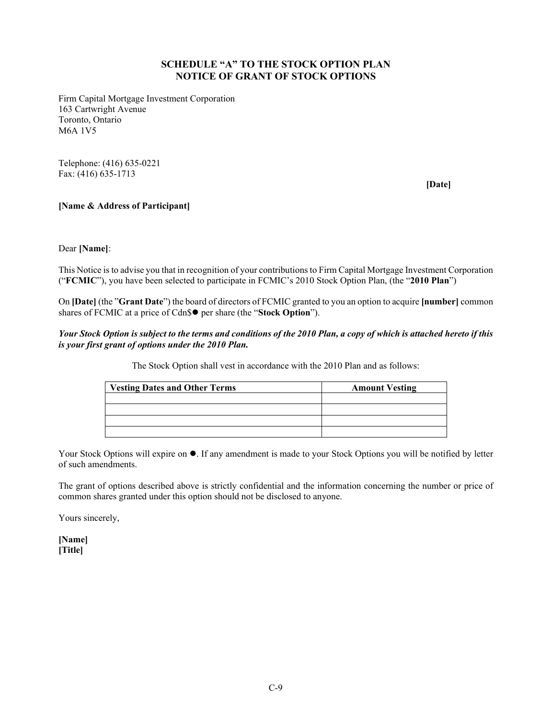# **SCHEDULE "A" TO THE STOCK OPTION PLAN NOTICE OF GRANT OF STOCK OPTIONS**

Firm Capital Mortgage Investment Corporation 163 Cartwright Avenue Toronto, Ontario M6A 1V5

Telephone: (416) 635-0221 Fax: (416) 635-1713

**[Date]**

# **[Name & Address of Participant]**

Dear **[Name]**:

This Notice is to advise you that in recognition of your contributions to Firm Capital Mortgage Investment Corporation ("**FCMIC**"), you have been selected to participate in FCMIC's 2010 Stock Option Plan, (the "**2010 Plan**")

On **[Date]** (the "**Grant Date**") the board of directors of FCMIC granted to you an option to acquire **[number]** common shares of FCMIC at a price of Cdn\$ $\bullet$  per share (the "**Stock Option**").

# *Your Stock Option is subject to the terms and conditions of the 2010 Plan, a copy of which is attached hereto if this is your first grant of options under the 2010 Plan.*

The Stock Option shall vest in accordance with the 2010 Plan and as follows:

| <b>Vesting Dates and Other Terms</b> | <b>Amount Vesting</b> |
|--------------------------------------|-----------------------|
|                                      |                       |
|                                      |                       |
|                                      |                       |
|                                      |                       |

Your Stock Options will expire on  $\bullet$ . If any amendment is made to your Stock Options you will be notified by letter of such amendments.

The grant of options described above is strictly confidential and the information concerning the number or price of common shares granted under this option should not be disclosed to anyone.

Yours sincerely,

**[Name] [Title]**